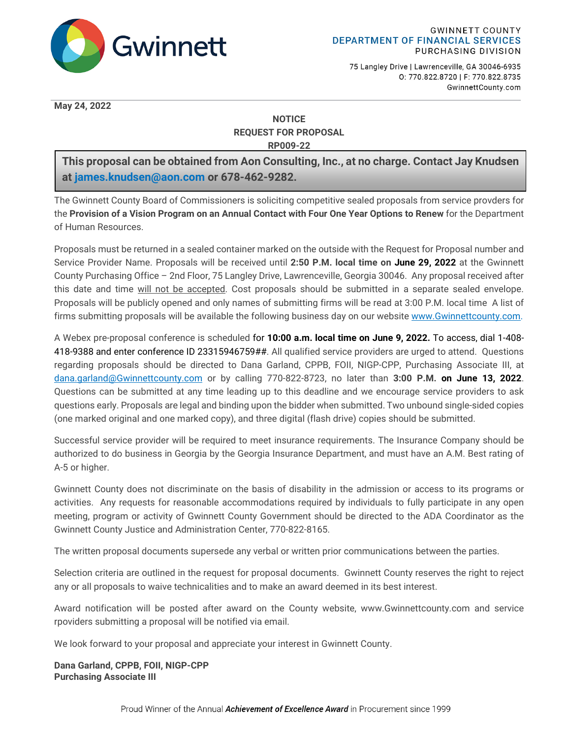

75 Langley Drive | Lawrenceville, GA 30046-6935 0: 770.822.8720 | F: 770.822.8735 GwinnettCounty.com

**May 24, 2022**

### **NOTICE REQUEST FOR PROPOSAL RP009-22**

**This proposal can be obtained from Aon Consulting, Inc., at no charge. Contact Jay Knudsen at [james.knudsen@aon.com](mailto:james.knudsen@aon.com) or 678-462-9282.**

The Gwinnett County Board of Commissioners is soliciting competitive sealed proposals from service provders for the **Provision of a Vision Program on an Annual Contact with Four One Year Options to Renew** for the Department of Human Resources.

Proposals must be returned in a sealed container marked on the outside with the Request for Proposal number and Service Provider Name. Proposals will be received until **2:50 P.M. local time on June 29, 2022** at the Gwinnett County Purchasing Office – 2nd Floor, 75 Langley Drive, Lawrenceville, Georgia 30046. Any proposal received after this date and time will not be accepted. Cost proposals should be submitted in a separate sealed envelope. Proposals will be publicly opened and only names of submitting firms will be read at 3:00 P.M. local time A list of firms submitting proposals will be available the following business day on our website [www.Gwinnettcounty.com.](http://www.gwinnettcounty.com/)

A Webex pre-proposal conference is scheduled for **10:00 a.m. local time on June 9, 2022.** To access, dial 1-408- 418-9388 and enter conference ID 23315946759##. All qualified service providers are urged to attend. Questions regarding proposals should be directed to Dana Garland, CPPB, FOII, NIGP-CPP, Purchasing Associate III, at [dana.garland@Gwinnettcounty.com](mailto:dana.garland@gwinnettcounty.com) or by calling 770-822-8723, no later than **3:00 P.M. on June 13, 2022**. Questions can be submitted at any time leading up to this deadline and we encourage service providers to ask questions early. Proposals are legal and binding upon the bidder when submitted. Two unbound single-sided copies (one marked original and one marked copy), and three digital (flash drive) copies should be submitted.

Successful service provider will be required to meet insurance requirements. The Insurance Company should be authorized to do business in Georgia by the Georgia Insurance Department, and must have an A.M. Best rating of A-5 or higher.

Gwinnett County does not discriminate on the basis of disability in the admission or access to its programs or activities. Any requests for reasonable accommodations required by individuals to fully participate in any open meeting, program or activity of Gwinnett County Government should be directed to the ADA Coordinator as the Gwinnett County Justice and Administration Center, 770-822-8165.

The written proposal documents supersede any verbal or written prior communications between the parties.

Selection criteria are outlined in the request for proposal documents. Gwinnett County reserves the right to reject any or all proposals to waive technicalities and to make an award deemed in its best interest.

Award notification will be posted after award on the County website, www.Gwinnettcounty.com and service rpoviders submitting a proposal will be notified via email.

We look forward to your proposal and appreciate your interest in Gwinnett County.

**Dana Garland, CPPB, FOII, NIGP-CPP Purchasing Associate III**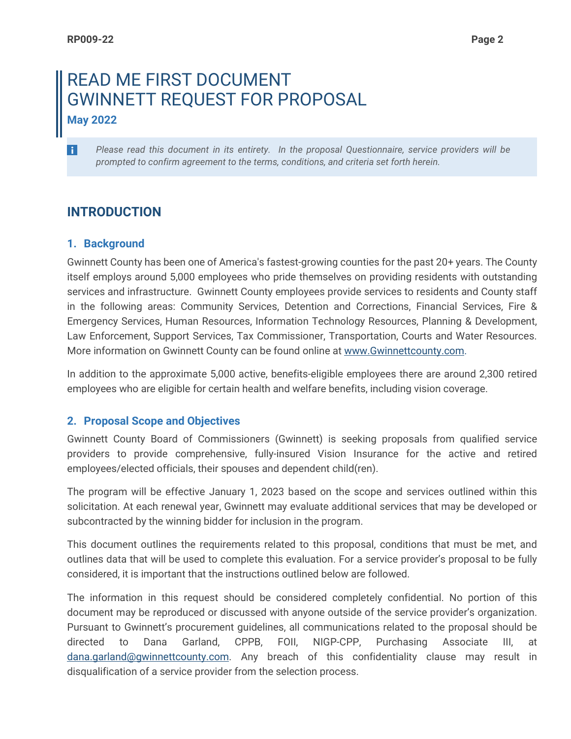÷

# READ ME FIRST DOCUMENT GWINNETT REQUEST FOR PROPOSAL **May 2022**

*Please read this document in its entirety. In the proposal Questionnaire, service providers will be prompted to confirm agreement to the terms, conditions, and criteria set forth herein.*

# **INTRODUCTION**

## **1. Background**

Gwinnett County has been one of America's fastest-growing counties for the past 20+ years. The County itself employs around 5,000 employees who pride themselves on providing residents with outstanding services and infrastructure. Gwinnett County employees provide services to residents and County staff in the following areas: Community Services, Detention and Corrections, Financial Services, Fire & Emergency Services, Human Resources, Information Technology Resources, Planning & Development, Law Enforcement, Support Services, Tax Commissioner, Transportation, Courts and Water Resources. More information on Gwinnett County can be found online at [www.Gwinnettcounty.com.](http://www.gwinnettcounty.com/)

In addition to the approximate 5,000 active, benefits-eligible employees there are around 2,300 retired employees who are eligible for certain health and welfare benefits, including vision coverage.

# **2. Proposal Scope and Objectives**

Gwinnett County Board of Commissioners (Gwinnett) is seeking proposals from qualified service providers to provide comprehensive, fully-insured Vision Insurance for the active and retired employees/elected officials, their spouses and dependent child(ren).

The program will be effective January 1, 2023 based on the scope and services outlined within this solicitation. At each renewal year, Gwinnett may evaluate additional services that may be developed or subcontracted by the winning bidder for inclusion in the program.

This document outlines the requirements related to this proposal, conditions that must be met, and outlines data that will be used to complete this evaluation. For a service provider's proposal to be fully considered, it is important that the instructions outlined below are followed.

The information in this request should be considered completely confidential. No portion of this document may be reproduced or discussed with anyone outside of the service provider's organization. Pursuant to Gwinnett's procurement guidelines, all communications related to the proposal should be directed to Dana Garland, CPPB, FOII, NIGP-CPP, Purchasing Associate III, at [dana.garland@gwinnettcounty.com.](mailto:dana.garland@gwinnettcounty.com) Any breach of this confidentiality clause may result in disqualification of a service provider from the selection process.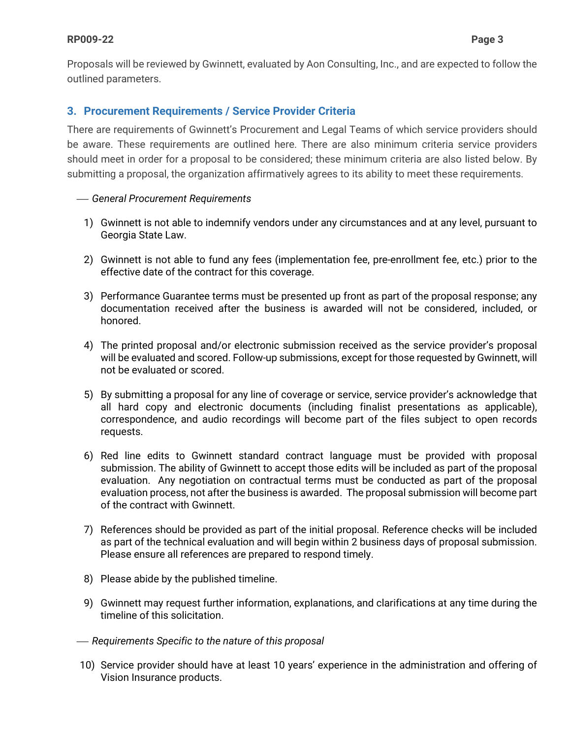Proposals will be reviewed by Gwinnett, evaluated by Aon Consulting, Inc., and are expected to follow the outlined parameters.

### **3. Procurement Requirements / Service Provider Criteria**

There are requirements of Gwinnett's Procurement and Legal Teams of which service providers should be aware. These requirements are outlined here. There are also minimum criteria service providers should meet in order for a proposal to be considered; these minimum criteria are also listed below. By submitting a proposal, the organization affirmatively agrees to its ability to meet these requirements.

### *General Procurement Requirements*

- 1) Gwinnett is not able to indemnify vendors under any circumstances and at any level, pursuant to Georgia State Law.
- 2) Gwinnett is not able to fund any fees (implementation fee, pre-enrollment fee, etc.) prior to the effective date of the contract for this coverage.
- 3) Performance Guarantee terms must be presented up front as part of the proposal response; any documentation received after the business is awarded will not be considered, included, or honored.
- 4) The printed proposal and/or electronic submission received as the service provider's proposal will be evaluated and scored. Follow-up submissions, except for those requested by Gwinnett, will not be evaluated or scored.
- 5) By submitting a proposal for any line of coverage or service, service provider's acknowledge that all hard copy and electronic documents (including finalist presentations as applicable), correspondence, and audio recordings will become part of the files subject to open records requests.
- 6) Red line edits to Gwinnett standard contract language must be provided with proposal submission. The ability of Gwinnett to accept those edits will be included as part of the proposal evaluation. Any negotiation on contractual terms must be conducted as part of the proposal evaluation process, not after the business is awarded. The proposal submission will become part of the contract with Gwinnett.
- 7) References should be provided as part of the initial proposal. Reference checks will be included as part of the technical evaluation and will begin within 2 business days of proposal submission. Please ensure all references are prepared to respond timely.
- 8) Please abide by the published timeline.
- 9) Gwinnett may request further information, explanations, and clarifications at any time during the timeline of this solicitation.
- *Requirements Specific to the nature of this proposal*
- 10) Service provider should have at least 10 years' experience in the administration and offering of Vision Insurance products.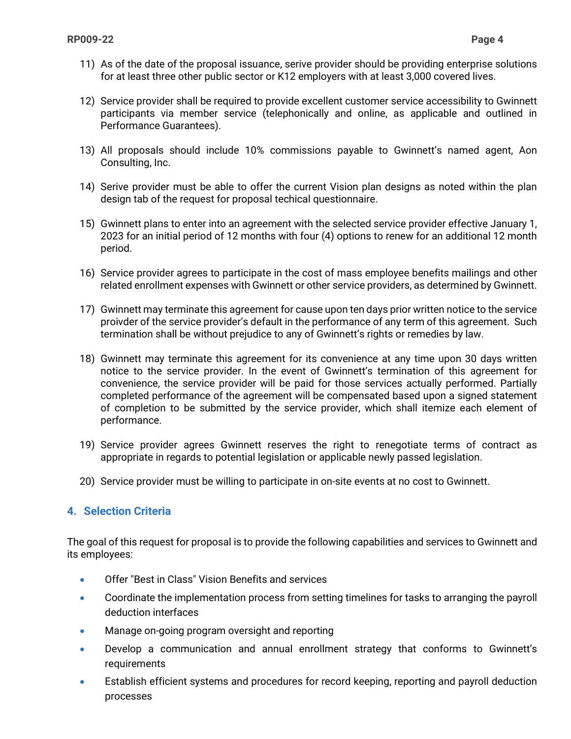- 11) As of the date of the proposal issuance, serive provider should be providing enterprise solutions for at least three other public sector or K12 employers with at least 3,000 covered lives.
- 12) Service provider shall be required to provide excellent customer service accessibility to Gwinnett participants via member service (telephonically and online, as applicable and outlined in Performance Guarantees).
- 13) All proposals should include 10% commissions payable to Gwinnett's named agent, Aon Consulting, Inc.
- 14) Serive provider must be able to offer the current Vision plan designs as noted within the plan design tab of the request for proposal techical questionnaire.
- 15) Gwinnett plans to enter into an agreement with the selected service provider effective January 1, 2023 for an initial period of 12 months with four (4) options to renew for an additional 12 month period.
- 16) Service provider agrees to participate in the cost of mass employee benefits mailings and other related enrollment expenses with Gwinnett or other service providers, as determined by Gwinnett.
- 17) Gwinnett may terminate this agreement for cause upon ten days prior written notice to the service proivder of the service provider's default in the performance of any term of this agreement. Such termination shall be without prejudice to any of Gwinnett's rights or remedies by law.
- 18) Gwinnett may terminate this agreement for its convenience at any time upon 30 days written notice to the service provider. In the event of Gwinnett's termination of this agreement for convenience, the service provider will be paid for those services actually performed. Partially completed performance of the agreement will be compensated based upon a signed statement of completion to be submitted by the service provider, which shall itemize each element of performance.
- 19) Service provider agrees Gwinnett reserves the right to renegotiate terms of contract as appropriate in regards to potential legislation or applicable newly passed legislation.
- 20) Service provider must be willing to participate in on-site events at no cost to Gwinnett.

### **4. Selection Criteria**

The goal of this request for proposal is to provide the following capabilities and services to Gwinnett and its employees:

- Offer "Best in Class" Vision Benefits and services
- Coordinate the implementation process from setting timelines for tasks to arranging the payroll deduction interfaces
- Manage on-going program oversight and reporting
- Develop a communication and annual enrollment strategy that conforms to Gwinnett's requirements
- Establish efficient systems and procedures for record keeping, reporting and payroll deduction processes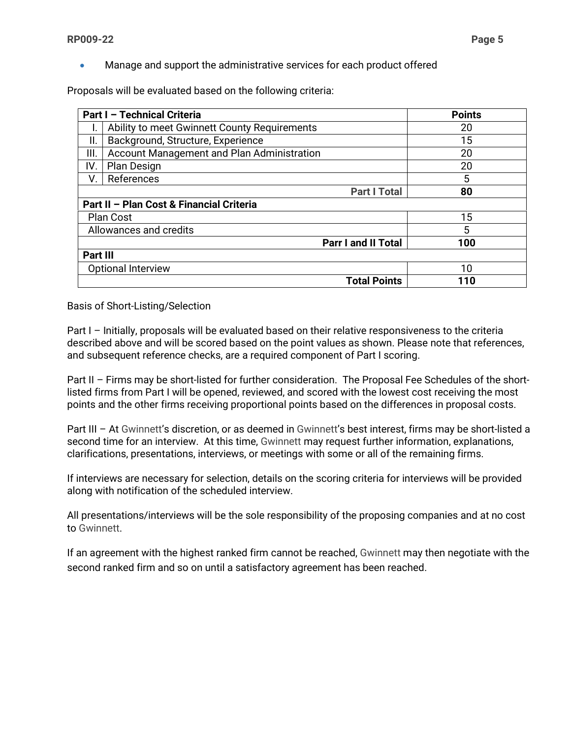• Manage and support the administrative services for each product offered

Proposals will be evaluated based on the following criteria:

|          | Part I - Technical Criteria                  | <b>Points</b> |
|----------|----------------------------------------------|---------------|
|          | Ability to meet Gwinnett County Requirements | 20            |
| ΙΙ.      | Background, Structure, Experience            | 15            |
| III.     | Account Management and Plan Administration   | 20            |
| IV.      | <b>Plan Design</b>                           | 20            |
| V.       | References                                   | 5             |
|          | <b>Part I Total</b>                          | 80            |
|          | Part II - Plan Cost & Financial Criteria     |               |
|          | <b>Plan Cost</b>                             | 15            |
|          | Allowances and credits                       | 5             |
|          | <b>Parr I and II Total</b>                   | 100           |
| Part III |                                              |               |
|          | <b>Optional Interview</b>                    | 10            |
|          | <b>Total Points</b>                          | 110           |

Basis of Short-Listing/Selection

Part I – Initially, proposals will be evaluated based on their relative responsiveness to the criteria described above and will be scored based on the point values as shown. Please note that references, and subsequent reference checks, are a required component of Part I scoring.

Part II – Firms may be short-listed for further consideration. The Proposal Fee Schedules of the shortlisted firms from Part I will be opened, reviewed, and scored with the lowest cost receiving the most points and the other firms receiving proportional points based on the differences in proposal costs.

Part III – At Gwinnett's discretion, or as deemed in Gwinnett's best interest, firms may be short-listed a second time for an interview. At this time, Gwinnett may request further information, explanations, clarifications, presentations, interviews, or meetings with some or all of the remaining firms.

If interviews are necessary for selection, details on the scoring criteria for interviews will be provided along with notification of the scheduled interview.

All presentations/interviews will be the sole responsibility of the proposing companies and at no cost to Gwinnett.

If an agreement with the highest ranked firm cannot be reached, Gwinnett may then negotiate with the second ranked firm and so on until a satisfactory agreement has been reached.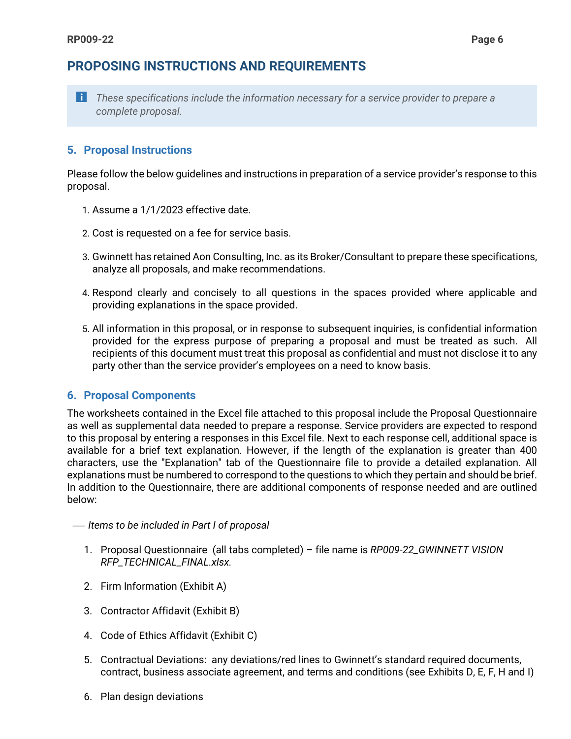# **PROPOSING INSTRUCTIONS AND REQUIREMENTS**



**These specifications include the information necessary for a service provider to prepare a** *complete proposal.*

### **5. Proposal Instructions**

Please follow the below guidelines and instructions in preparation of a service provider's response to this proposal.

- 1. Assume a 1/1/2023 effective date.
- 2. Cost is requested on a fee for service basis.
- 3. Gwinnett has retained Aon Consulting, Inc. as its Broker/Consultant to prepare these specifications, analyze all proposals, and make recommendations.
- 4. Respond clearly and concisely to all questions in the spaces provided where applicable and providing explanations in the space provided.
- 5. All information in this proposal, or in response to subsequent inquiries, is confidential information provided for the express purpose of preparing a proposal and must be treated as such. All recipients of this document must treat this proposal as confidential and must not disclose it to any party other than the service provider's employees on a need to know basis.

### **6. Proposal Components**

The worksheets contained in the Excel file attached to this proposal include the Proposal Questionnaire as well as supplemental data needed to prepare a response. Service providers are expected to respond to this proposal by entering a responses in this Excel file. Next to each response cell, additional space is available for a brief text explanation. However, if the length of the explanation is greater than 400 characters, use the "Explanation" tab of the Questionnaire file to provide a detailed explanation. All explanations must be numbered to correspond to the questions to which they pertain and should be brief. In addition to the Questionnaire, there are additional components of response needed and are outlined below:

- *Items to be included in Part I of proposal*
	- 1. Proposal Questionnaire (all tabs completed) file name is *RP009-22\_GWINNETT VISION RFP\_TECHNICAL\_FINAL.xlsx.*
	- 2. Firm Information (Exhibit A)
	- 3. Contractor Affidavit (Exhibit B)
	- 4. Code of Ethics Affidavit (Exhibit C)
	- 5. Contractual Deviations: any deviations/red lines to Gwinnett's standard required documents, contract, business associate agreement, and terms and conditions (see Exhibits D, E, F, H and I)
	- 6. Plan design deviations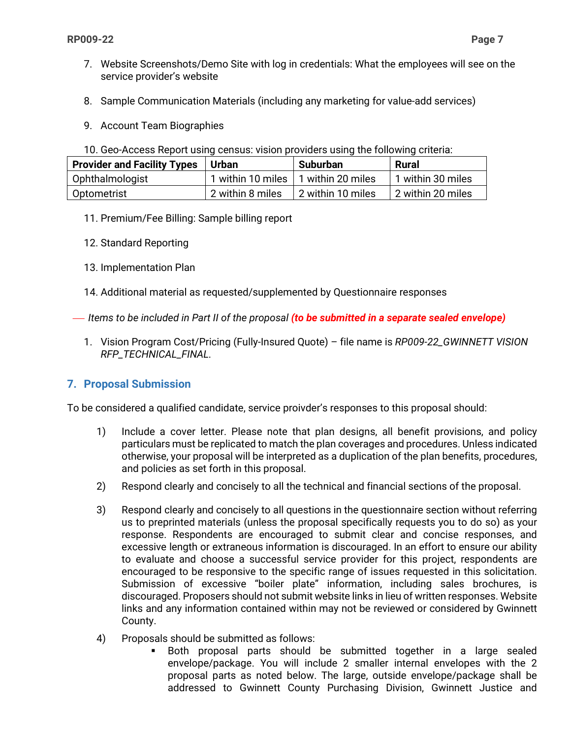- 7. Website Screenshots/Demo Site with log in credentials: What the employees will see on the service provider's website
- 8. Sample Communication Materials (including any marketing for value-add services)
- 9. Account Team Biographies
- 10. Geo-Access Report using census: vision providers using the following criteria:

| <b>Provider and Facility Types</b> | <b>Urban</b>                          | <b>Suburban</b>           | Rural             |
|------------------------------------|---------------------------------------|---------------------------|-------------------|
| Ophthalmologist                    | 1 within 10 miles   1 within 20 miles |                           | 1 within 30 miles |
| Optometrist                        | 2 within 8 miles                      | $\vert$ 2 within 10 miles | 2 within 20 miles |

- 11. Premium/Fee Billing: Sample billing report
- 12. Standard Reporting
- 13. Implementation Plan
- 14. Additional material as requested/supplemented by Questionnaire responses
- *Items to be included in Part II of the proposal (to be submitted in a separate sealed envelope)*
	- 1. Vision Program Cost/Pricing (Fully-Insured Quote) file name is *RP009-22\_GWINNETT VISION RFP\_TECHNICAL\_FINAL.*

## **7. Proposal Submission**

To be considered a qualified candidate, service proivder's responses to this proposal should:

- 1) Include a cover letter. Please note that plan designs, all benefit provisions, and policy particulars must be replicated to match the plan coverages and procedures. Unless indicated otherwise, your proposal will be interpreted as a duplication of the plan benefits, procedures, and policies as set forth in this proposal.
- 2) Respond clearly and concisely to all the technical and financial sections of the proposal.
- 3) Respond clearly and concisely to all questions in the questionnaire section without referring us to preprinted materials (unless the proposal specifically requests you to do so) as your response. Respondents are encouraged to submit clear and concise responses, and excessive length or extraneous information is discouraged. In an effort to ensure our ability to evaluate and choose a successful service provider for this project, respondents are encouraged to be responsive to the specific range of issues requested in this solicitation. Submission of excessive "boiler plate" information, including sales brochures, is discouraged. Proposers should not submit website links in lieu of written responses. Website links and any information contained within may not be reviewed or considered by Gwinnett County.
- 4) Proposals should be submitted as follows:
	- Both proposal parts should be submitted together in a large sealed envelope/package. You will include 2 smaller internal envelopes with the 2 proposal parts as noted below. The large, outside envelope/package shall be addressed to Gwinnett County Purchasing Division, Gwinnett Justice and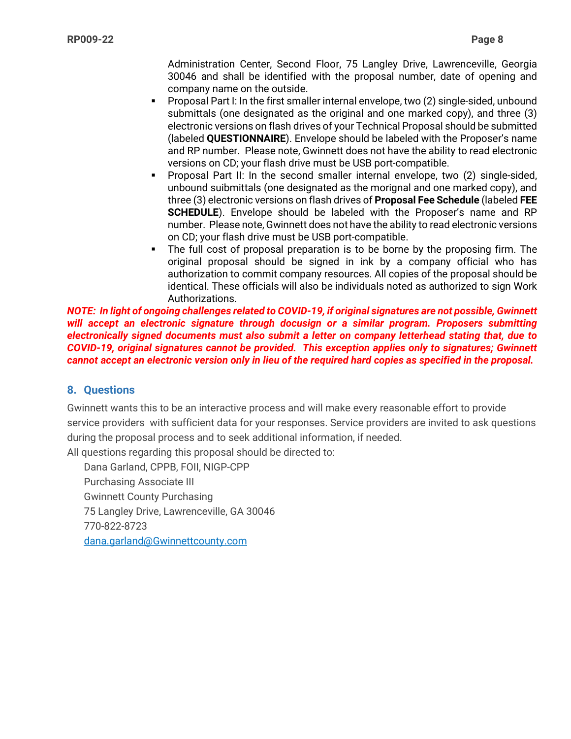Administration Center, Second Floor, 75 Langley Drive, Lawrenceville, Georgia 30046 and shall be identified with the proposal number, date of opening and company name on the outside.

- Proposal Part I: In the first smaller internal envelope, two (2) single-sided, unbound submittals (one designated as the original and one marked copy), and three (3) electronic versions on flash drives of your Technical Proposal should be submitted (labeled **QUESTIONNAIRE**). Envelope should be labeled with the Proposer's name and RP number. Please note, Gwinnett does not have the ability to read electronic versions on CD; your flash drive must be USB port-compatible.
- Proposal Part II: In the second smaller internal envelope, two (2) single-sided, unbound suibmittals (one designated as the morignal and one marked copy), and three (3) electronic versions on flash drives of **Proposal Fee Schedule** (labeled **FEE SCHEDULE**). Envelope should be labeled with the Proposer's name and RP number. Please note, Gwinnett does not have the ability to read electronic versions on CD; your flash drive must be USB port-compatible.
- The full cost of proposal preparation is to be borne by the proposing firm. The original proposal should be signed in ink by a company official who has authorization to commit company resources. All copies of the proposal should be identical. These officials will also be individuals noted as authorized to sign Work Authorizations.

*NOTE: In light of ongoing challenges related to COVID-19, if original signatures are not possible, Gwinnett will accept an electronic signature through docusign or a similar program. Proposers submitting electronically signed documents must also submit a letter on company letterhead stating that, due to COVID-19, original signatures cannot be provided. This exception applies only to signatures; Gwinnett cannot accept an electronic version only in lieu of the required hard copies as specified in the proposal.*

### **8. Questions**

Gwinnett wants this to be an interactive process and will make every reasonable effort to provide service providers with sufficient data for your responses. Service providers are invited to ask questions during the proposal process and to seek additional information, if needed.

All questions regarding this proposal should be directed to:

Dana Garland, CPPB, FOII, NIGP-CPP Purchasing Associate III Gwinnett County Purchasing 75 Langley Drive, Lawrenceville, GA 30046 770-822-8723 [dana.garland@Gwinnettcounty.com](mailto:dana.garland@gwinnettcounty.com)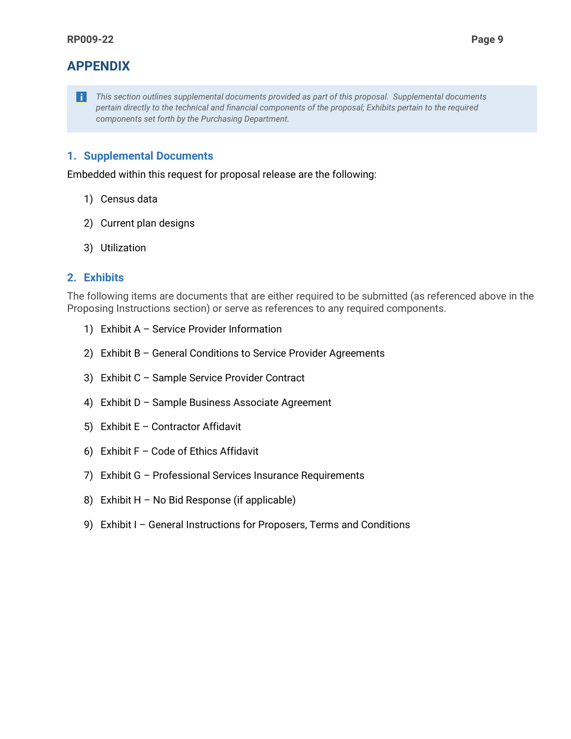# **APPENDIX**

*This section outlines supplemental documents provided as part of this proposal. Supplemental documents pertain directly to the technical and financial components of the proposal; Exhibits pertain to the required components set forth by the Purchasing Department.*

### **1. Supplemental Documents**

Embedded within this request for proposal release are the following:

- 1) Census data
- 2) Current plan designs
- 3) Utilization

### **2. Exhibits**

The following items are documents that are either required to be submitted (as referenced above in the Proposing Instructions section) or serve as references to any required components.

- 1) Exhibit A Service Provider Information
- 2) Exhibit B General Conditions to Service Provider Agreements
- 3) Exhibit C Sample Service Provider Contract
- 4) Exhibit D Sample Business Associate Agreement
- 5) Exhibit E Contractor Affidavit
- 6) Exhibit  $F Code$  of Ethics Affidavit
- 7) Exhibit G Professional Services Insurance Requirements
- 8) Exhibit H No Bid Response (if applicable)
- 9) Exhibit I General Instructions for Proposers, Terms and Conditions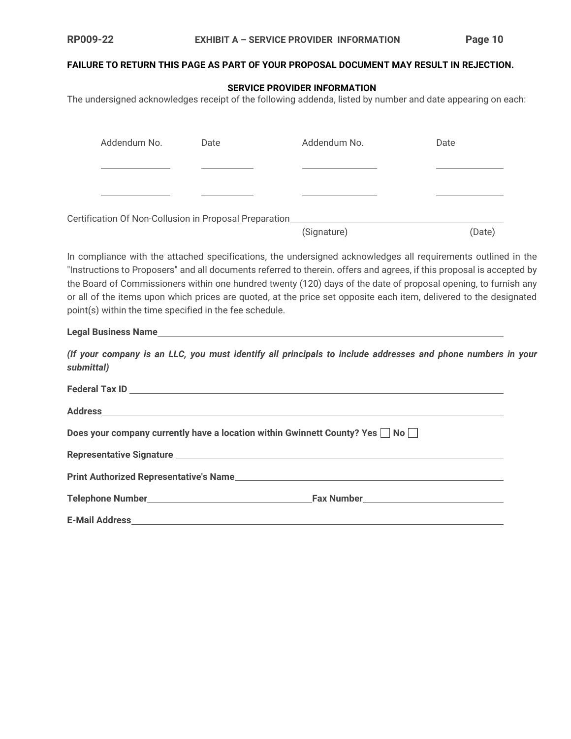### **FAILURE TO RETURN THIS PAGE AS PART OF YOUR PROPOSAL DOCUMENT MAY RESULT IN REJECTION.**

### **SERVICE PROVIDER INFORMATION**

The undersigned acknowledges receipt of the following addenda, listed by number and date appearing on each:

|                                                                                                                                                                                                                                                                                                                                                                                                                           | Addendum No.                                            | Date | Addendum No.                                                                                                | Date   |
|---------------------------------------------------------------------------------------------------------------------------------------------------------------------------------------------------------------------------------------------------------------------------------------------------------------------------------------------------------------------------------------------------------------------------|---------------------------------------------------------|------|-------------------------------------------------------------------------------------------------------------|--------|
|                                                                                                                                                                                                                                                                                                                                                                                                                           |                                                         |      |                                                                                                             |        |
|                                                                                                                                                                                                                                                                                                                                                                                                                           |                                                         |      |                                                                                                             |        |
|                                                                                                                                                                                                                                                                                                                                                                                                                           | Certification Of Non-Collusion in Proposal Preparation_ |      |                                                                                                             |        |
|                                                                                                                                                                                                                                                                                                                                                                                                                           |                                                         |      | (Signature)                                                                                                 | (Date) |
| "Instructions to Proposers" and all documents referred to therein. offers and agrees, if this proposal is accepted by<br>the Board of Commissioners within one hundred twenty (120) days of the date of proposal opening, to furnish any<br>or all of the items upon which prices are quoted, at the price set opposite each item, delivered to the designated<br>point(s) within the time specified in the fee schedule. |                                                         |      |                                                                                                             |        |
|                                                                                                                                                                                                                                                                                                                                                                                                                           |                                                         |      |                                                                                                             |        |
| submittal)                                                                                                                                                                                                                                                                                                                                                                                                                |                                                         |      | (If your company is an LLC, you must identify all principals to include addresses and phone numbers in your |        |
|                                                                                                                                                                                                                                                                                                                                                                                                                           | Federal Tax ID <b>Network</b>                           |      |                                                                                                             |        |

| Does your company currently have a location within Gwinnett County? Yes $\square$ No $\square$                             |  |
|----------------------------------------------------------------------------------------------------------------------------|--|
|                                                                                                                            |  |
| Print Authorized Representative's Name <b>Authorized Struck and Authorized Struck</b> and Authorized Struck and Authorized |  |
|                                                                                                                            |  |
|                                                                                                                            |  |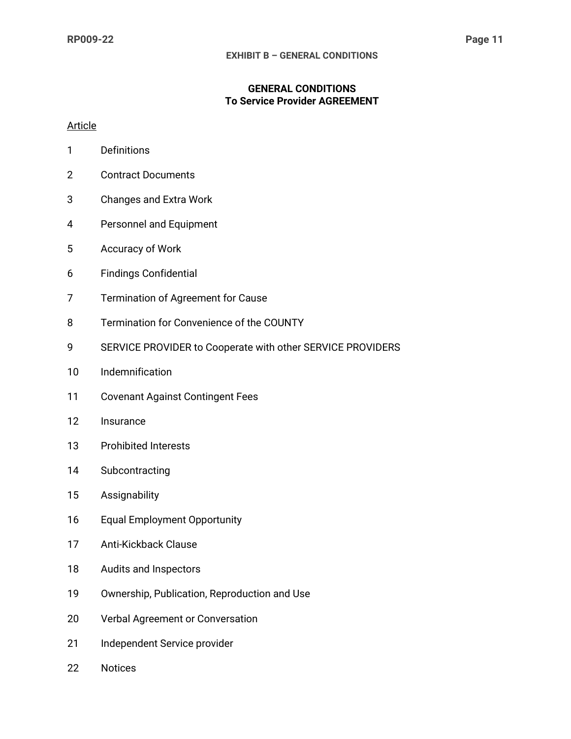### **GENERAL CONDITIONS To Service Provider AGREEMENT**

### Article

- 1 Definitions
- 2 Contract Documents
- 3 Changes and Extra Work
- 4 Personnel and Equipment
- 5 Accuracy of Work
- 6 Findings Confidential
- 7 Termination of Agreement for Cause
- 8 Termination for Convenience of the COUNTY
- 9 SERVICE PROVIDER to Cooperate with other SERVICE PROVIDERS
- 10 Indemnification
- 11 Covenant Against Contingent Fees
- 12 Insurance
- 13 Prohibited Interests
- 14 Subcontracting
- 15 Assignability
- 16 Equal Employment Opportunity
- 17 Anti-Kickback Clause
- 18 Audits and Inspectors
- 19 Ownership, Publication, Reproduction and Use
- 20 Verbal Agreement or Conversation
- 21 Independent Service provider
- 22 Notices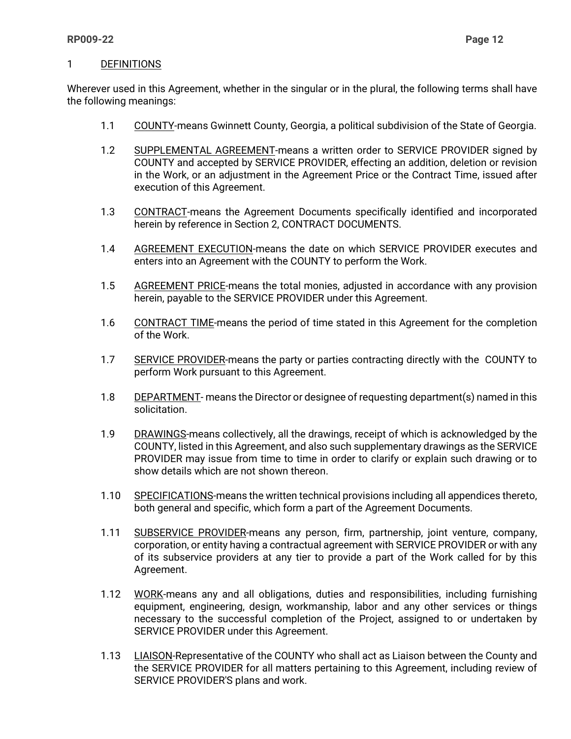#### 1 DEFINITIONS

Wherever used in this Agreement, whether in the singular or in the plural, the following terms shall have the following meanings:

- 1.1 COUNTY-means Gwinnett County, Georgia, a political subdivision of the State of Georgia.
- 1.2 SUPPLEMENTAL AGREEMENT-means a written order to SERVICE PROVIDER signed by COUNTY and accepted by SERVICE PROVIDER, effecting an addition, deletion or revision in the Work, or an adjustment in the Agreement Price or the Contract Time, issued after execution of this Agreement.
- 1.3 CONTRACT-means the Agreement Documents specifically identified and incorporated herein by reference in Section 2, CONTRACT DOCUMENTS.
- 1.4 AGREEMENT EXECUTION-means the date on which SERVICE PROVIDER executes and enters into an Agreement with the COUNTY to perform the Work.
- 1.5 AGREEMENT PRICE-means the total monies, adjusted in accordance with any provision herein, payable to the SERVICE PROVIDER under this Agreement.
- 1.6 CONTRACT TIME-means the period of time stated in this Agreement for the completion of the Work.
- 1.7 SERVICE PROVIDER-means the party or parties contracting directly with the COUNTY to perform Work pursuant to this Agreement.
- 1.8 DEPARTMENT- means the Director or designee of requesting department(s) named in this solicitation.
- 1.9 DRAWINGS-means collectively, all the drawings, receipt of which is acknowledged by the COUNTY, listed in this Agreement, and also such supplementary drawings as the SERVICE PROVIDER may issue from time to time in order to clarify or explain such drawing or to show details which are not shown thereon.
- 1.10 SPECIFICATIONS-means the written technical provisions including all appendices thereto, both general and specific, which form a part of the Agreement Documents.
- 1.11 SUBSERVICE PROVIDER-means any person, firm, partnership, joint venture, company, corporation, or entity having a contractual agreement with SERVICE PROVIDER or with any of its subservice providers at any tier to provide a part of the Work called for by this Agreement.
- 1.12 WORK-means any and all obligations, duties and responsibilities, including furnishing equipment, engineering, design, workmanship, labor and any other services or things necessary to the successful completion of the Project, assigned to or undertaken by SERVICE PROVIDER under this Agreement.
- 1.13 LIAISON-Representative of the COUNTY who shall act as Liaison between the County and the SERVICE PROVIDER for all matters pertaining to this Agreement, including review of SERVICE PROVIDER'S plans and work.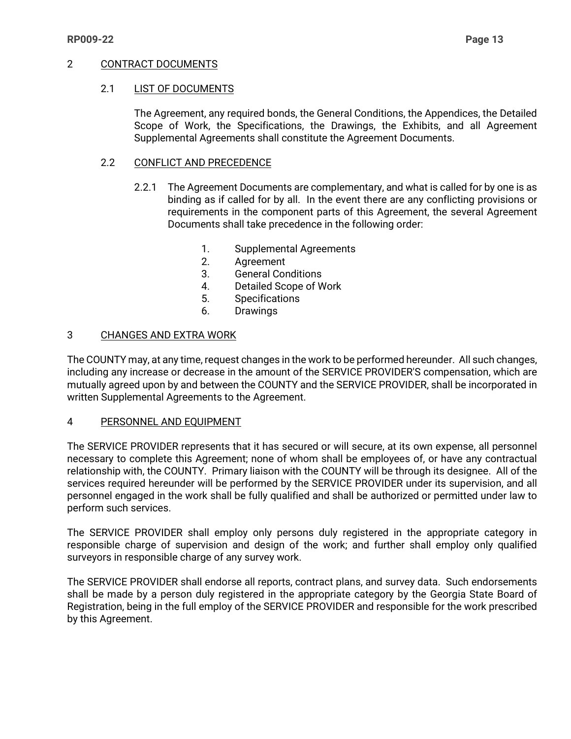#### 2 CONTRACT DOCUMENTS

#### 2.1 LIST OF DOCUMENTS

The Agreement, any required bonds, the General Conditions, the Appendices, the Detailed Scope of Work, the Specifications, the Drawings, the Exhibits, and all Agreement Supplemental Agreements shall constitute the Agreement Documents.

#### 2.2 CONFLICT AND PRECEDENCE

- 2.2.1 The Agreement Documents are complementary, and what is called for by one is as binding as if called for by all. In the event there are any conflicting provisions or requirements in the component parts of this Agreement, the several Agreement Documents shall take precedence in the following order:
	- 1. Supplemental Agreements
	- 2. Agreement
	- 3. General Conditions
	- 4. Detailed Scope of Work
	- 5. Specifications
	- 6. Drawings

### 3 CHANGES AND EXTRA WORK

The COUNTY may, at any time, request changes in the work to be performed hereunder. All such changes, including any increase or decrease in the amount of the SERVICE PROVIDER'S compensation, which are mutually agreed upon by and between the COUNTY and the SERVICE PROVIDER, shall be incorporated in written Supplemental Agreements to the Agreement.

#### 4 PERSONNEL AND EQUIPMENT

The SERVICE PROVIDER represents that it has secured or will secure, at its own expense, all personnel necessary to complete this Agreement; none of whom shall be employees of, or have any contractual relationship with, the COUNTY. Primary liaison with the COUNTY will be through its designee. All of the services required hereunder will be performed by the SERVICE PROVIDER under its supervision, and all personnel engaged in the work shall be fully qualified and shall be authorized or permitted under law to perform such services.

The SERVICE PROVIDER shall employ only persons duly registered in the appropriate category in responsible charge of supervision and design of the work; and further shall employ only qualified surveyors in responsible charge of any survey work.

The SERVICE PROVIDER shall endorse all reports, contract plans, and survey data. Such endorsements shall be made by a person duly registered in the appropriate category by the Georgia State Board of Registration, being in the full employ of the SERVICE PROVIDER and responsible for the work prescribed by this Agreement.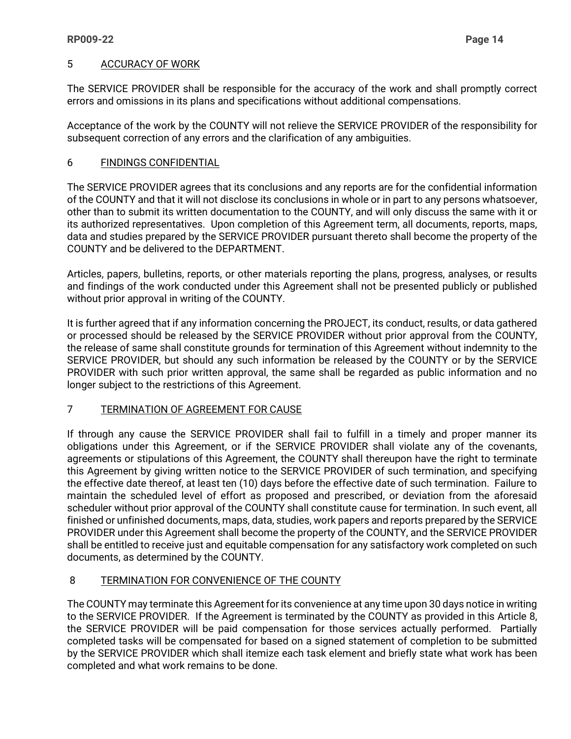### 5 ACCURACY OF WORK

The SERVICE PROVIDER shall be responsible for the accuracy of the work and shall promptly correct errors and omissions in its plans and specifications without additional compensations.

Acceptance of the work by the COUNTY will not relieve the SERVICE PROVIDER of the responsibility for subsequent correction of any errors and the clarification of any ambiguities.

### 6 FINDINGS CONFIDENTIAL

The SERVICE PROVIDER agrees that its conclusions and any reports are for the confidential information of the COUNTY and that it will not disclose its conclusions in whole or in part to any persons whatsoever, other than to submit its written documentation to the COUNTY, and will only discuss the same with it or its authorized representatives. Upon completion of this Agreement term, all documents, reports, maps, data and studies prepared by the SERVICE PROVIDER pursuant thereto shall become the property of the COUNTY and be delivered to the DEPARTMENT.

Articles, papers, bulletins, reports, or other materials reporting the plans, progress, analyses, or results and findings of the work conducted under this Agreement shall not be presented publicly or published without prior approval in writing of the COUNTY.

It is further agreed that if any information concerning the PROJECT, its conduct, results, or data gathered or processed should be released by the SERVICE PROVIDER without prior approval from the COUNTY, the release of same shall constitute grounds for termination of this Agreement without indemnity to the SERVICE PROVIDER, but should any such information be released by the COUNTY or by the SERVICE PROVIDER with such prior written approval, the same shall be regarded as public information and no longer subject to the restrictions of this Agreement.

### 7 TERMINATION OF AGREEMENT FOR CAUSE

If through any cause the SERVICE PROVIDER shall fail to fulfill in a timely and proper manner its obligations under this Agreement, or if the SERVICE PROVIDER shall violate any of the covenants, agreements or stipulations of this Agreement, the COUNTY shall thereupon have the right to terminate this Agreement by giving written notice to the SERVICE PROVIDER of such termination, and specifying the effective date thereof, at least ten (10) days before the effective date of such termination. Failure to maintain the scheduled level of effort as proposed and prescribed, or deviation from the aforesaid scheduler without prior approval of the COUNTY shall constitute cause for termination. In such event, all finished or unfinished documents, maps, data, studies, work papers and reports prepared by the SERVICE PROVIDER under this Agreement shall become the property of the COUNTY, and the SERVICE PROVIDER shall be entitled to receive just and equitable compensation for any satisfactory work completed on such documents, as determined by the COUNTY.

### 8 TERMINATION FOR CONVENIENCE OF THE COUNTY

The COUNTY may terminate this Agreement for its convenience at any time upon 30 days notice in writing to the SERVICE PROVIDER. If the Agreement is terminated by the COUNTY as provided in this Article 8, the SERVICE PROVIDER will be paid compensation for those services actually performed. Partially completed tasks will be compensated for based on a signed statement of completion to be submitted by the SERVICE PROVIDER which shall itemize each task element and briefly state what work has been completed and what work remains to be done.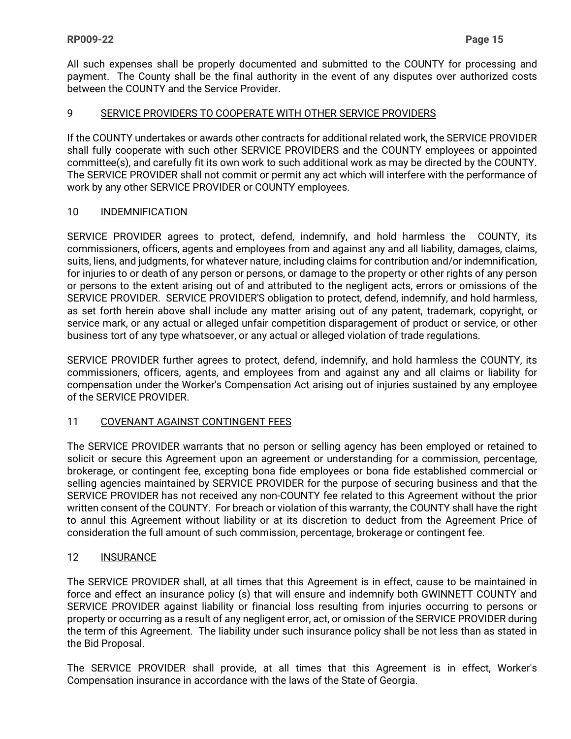All such expenses shall be properly documented and submitted to the COUNTY for processing and payment. The County shall be the final authority in the event of any disputes over authorized costs between the COUNTY and the Service Provider.

### 9 SERVICE PROVIDERS TO COOPERATE WITH OTHER SERVICE PROVIDERS

If the COUNTY undertakes or awards other contracts for additional related work, the SERVICE PROVIDER shall fully cooperate with such other SERVICE PROVIDERS and the COUNTY employees or appointed committee(s), and carefully fit its own work to such additional work as may be directed by the COUNTY. The SERVICE PROVIDER shall not commit or permit any act which will interfere with the performance of work by any other SERVICE PROVIDER or COUNTY employees.

### 10 INDEMNIFICATION

SERVICE PROVIDER agrees to protect, defend, indemnify, and hold harmless the COUNTY, its commissioners, officers, agents and employees from and against any and all liability, damages, claims, suits, liens, and judgments, for whatever nature, including claims for contribution and/or indemnification, for injuries to or death of any person or persons, or damage to the property or other rights of any person or persons to the extent arising out of and attributed to the negligent acts, errors or omissions of the SERVICE PROVIDER. SERVICE PROVIDER'S obligation to protect, defend, indemnify, and hold harmless, as set forth herein above shall include any matter arising out of any patent, trademark, copyright, or service mark, or any actual or alleged unfair competition disparagement of product or service, or other business tort of any type whatsoever, or any actual or alleged violation of trade regulations.

SERVICE PROVIDER further agrees to protect, defend, indemnify, and hold harmless the COUNTY, its commissioners, officers, agents, and employees from and against any and all claims or liability for compensation under the Worker's Compensation Act arising out of injuries sustained by any employee of the SERVICE PROVIDER.

### 11 COVENANT AGAINST CONTINGENT FEES

The SERVICE PROVIDER warrants that no person or selling agency has been employed or retained to solicit or secure this Agreement upon an agreement or understanding for a commission, percentage, brokerage, or contingent fee, excepting bona fide employees or bona fide established commercial or selling agencies maintained by SERVICE PROVIDER for the purpose of securing business and that the SERVICE PROVIDER has not received any non-COUNTY fee related to this Agreement without the prior written consent of the COUNTY. For breach or violation of this warranty, the COUNTY shall have the right to annul this Agreement without liability or at its discretion to deduct from the Agreement Price of consideration the full amount of such commission, percentage, brokerage or contingent fee.

### 12 INSURANCE

The SERVICE PROVIDER shall, at all times that this Agreement is in effect, cause to be maintained in force and effect an insurance policy (s) that will ensure and indemnify both GWINNETT COUNTY and SERVICE PROVIDER against liability or financial loss resulting from injuries occurring to persons or property or occurring as a result of any negligent error, act, or omission of the SERVICE PROVIDER during the term of this Agreement. The liability under such insurance policy shall be not less than as stated in the Bid Proposal.

The SERVICE PROVIDER shall provide, at all times that this Agreement is in effect, Worker's Compensation insurance in accordance with the laws of the State of Georgia.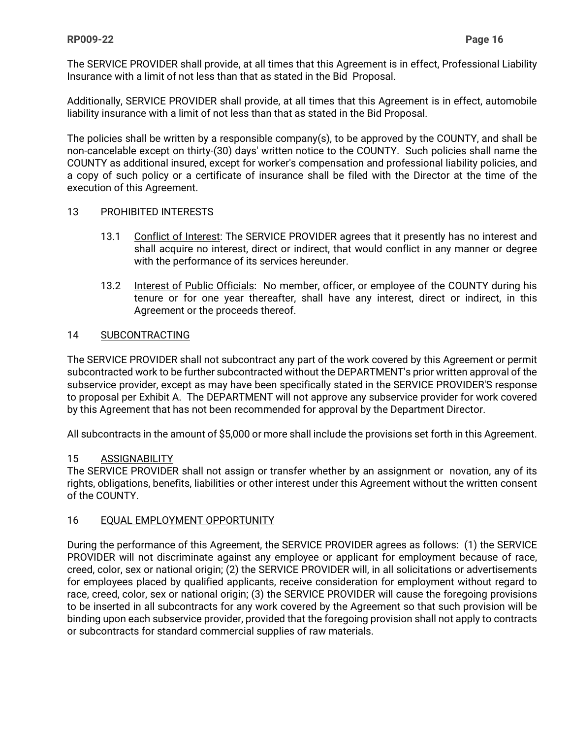The SERVICE PROVIDER shall provide, at all times that this Agreement is in effect, Professional Liability Insurance with a limit of not less than that as stated in the Bid Proposal.

Additionally, SERVICE PROVIDER shall provide, at all times that this Agreement is in effect, automobile liability insurance with a limit of not less than that as stated in the Bid Proposal.

The policies shall be written by a responsible company(s), to be approved by the COUNTY, and shall be non-cancelable except on thirty-(30) days' written notice to the COUNTY. Such policies shall name the COUNTY as additional insured, except for worker's compensation and professional liability policies, and a copy of such policy or a certificate of insurance shall be filed with the Director at the time of the execution of this Agreement.

#### 13 PROHIBITED INTERESTS

- 13.1 Conflict of Interest: The SERVICE PROVIDER agrees that it presently has no interest and shall acquire no interest, direct or indirect, that would conflict in any manner or degree with the performance of its services hereunder.
- 13.2 Interest of Public Officials: No member, officer, or employee of the COUNTY during his tenure or for one year thereafter, shall have any interest, direct or indirect, in this Agreement or the proceeds thereof.

### 14 SUBCONTRACTING

The SERVICE PROVIDER shall not subcontract any part of the work covered by this Agreement or permit subcontracted work to be further subcontracted without the DEPARTMENT's prior written approval of the subservice provider, except as may have been specifically stated in the SERVICE PROVIDER'S response to proposal per Exhibit A. The DEPARTMENT will not approve any subservice provider for work covered by this Agreement that has not been recommended for approval by the Department Director.

All subcontracts in the amount of \$5,000 or more shall include the provisions set forth in this Agreement.

#### 15 ASSIGNABILITY

The SERVICE PROVIDER shall not assign or transfer whether by an assignment or novation, any of its rights, obligations, benefits, liabilities or other interest under this Agreement without the written consent of the COUNTY.

### 16 EQUAL EMPLOYMENT OPPORTUNITY

During the performance of this Agreement, the SERVICE PROVIDER agrees as follows: (1) the SERVICE PROVIDER will not discriminate against any employee or applicant for employment because of race, creed, color, sex or national origin; (2) the SERVICE PROVIDER will, in all solicitations or advertisements for employees placed by qualified applicants, receive consideration for employment without regard to race, creed, color, sex or national origin; (3) the SERVICE PROVIDER will cause the foregoing provisions to be inserted in all subcontracts for any work covered by the Agreement so that such provision will be binding upon each subservice provider, provided that the foregoing provision shall not apply to contracts or subcontracts for standard commercial supplies of raw materials.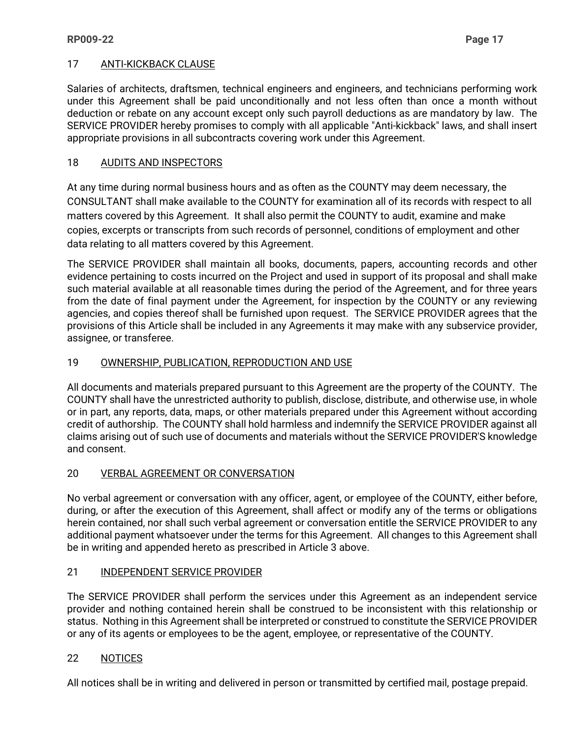### 17 ANTI-KICKBACK CLAUSE

Salaries of architects, draftsmen, technical engineers and engineers, and technicians performing work under this Agreement shall be paid unconditionally and not less often than once a month without deduction or rebate on any account except only such payroll deductions as are mandatory by law. The SERVICE PROVIDER hereby promises to comply with all applicable "Anti-kickback" laws, and shall insert appropriate provisions in all subcontracts covering work under this Agreement.

### 18 AUDITS AND INSPECTORS

At any time during normal business hours and as often as the COUNTY may deem necessary, the CONSULTANT shall make available to the COUNTY for examination all of its records with respect to all matters covered by this Agreement. It shall also permit the COUNTY to audit, examine and make copies, excerpts or transcripts from such records of personnel, conditions of employment and other data relating to all matters covered by this Agreement.

The SERVICE PROVIDER shall maintain all books, documents, papers, accounting records and other evidence pertaining to costs incurred on the Project and used in support of its proposal and shall make such material available at all reasonable times during the period of the Agreement, and for three years from the date of final payment under the Agreement, for inspection by the COUNTY or any reviewing agencies, and copies thereof shall be furnished upon request. The SERVICE PROVIDER agrees that the provisions of this Article shall be included in any Agreements it may make with any subservice provider, assignee, or transferee.

### 19 OWNERSHIP, PUBLICATION, REPRODUCTION AND USE

All documents and materials prepared pursuant to this Agreement are the property of the COUNTY. The COUNTY shall have the unrestricted authority to publish, disclose, distribute, and otherwise use, in whole or in part, any reports, data, maps, or other materials prepared under this Agreement without according credit of authorship. The COUNTY shall hold harmless and indemnify the SERVICE PROVIDER against all claims arising out of such use of documents and materials without the SERVICE PROVIDER'S knowledge and consent.

### 20 VERBAL AGREEMENT OR CONVERSATION

No verbal agreement or conversation with any officer, agent, or employee of the COUNTY, either before, during, or after the execution of this Agreement, shall affect or modify any of the terms or obligations herein contained, nor shall such verbal agreement or conversation entitle the SERVICE PROVIDER to any additional payment whatsoever under the terms for this Agreement. All changes to this Agreement shall be in writing and appended hereto as prescribed in Article 3 above.

### 21 INDEPENDENT SERVICE PROVIDER

The SERVICE PROVIDER shall perform the services under this Agreement as an independent service provider and nothing contained herein shall be construed to be inconsistent with this relationship or status. Nothing in this Agreement shall be interpreted or construed to constitute the SERVICE PROVIDER or any of its agents or employees to be the agent, employee, or representative of the COUNTY.

### 22 NOTICES

All notices shall be in writing and delivered in person or transmitted by certified mail, postage prepaid.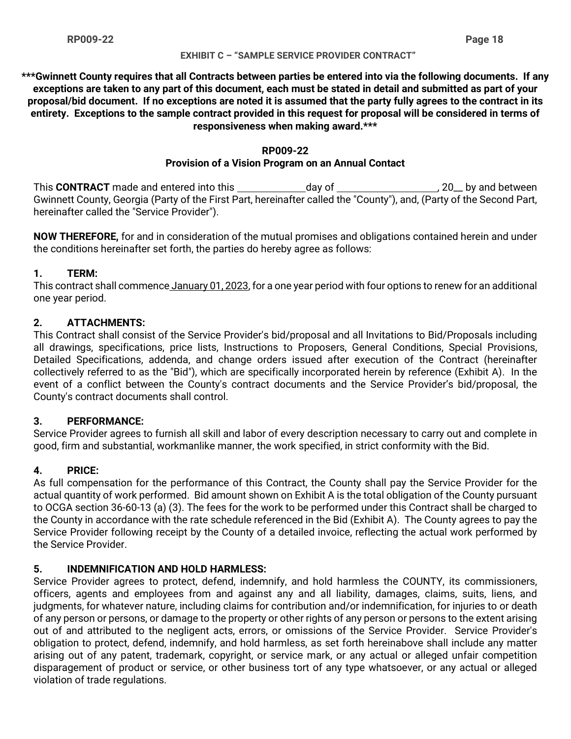#### **EXHIBIT C – "SAMPLE SERVICE PROVIDER CONTRACT"**

**\*\*\*Gwinnett County requires that all Contracts between parties be entered into via the following documents. If any exceptions are taken to any part of this document, each must be stated in detail and submitted as part of your proposal/bid document. If no exceptions are noted it is assumed that the party fully agrees to the contract in its entirety. Exceptions to the sample contract provided in this request for proposal will be considered in terms of responsiveness when making award.\*\*\***

#### **RP009-22**

### **Provision of a Vision Program on an Annual Contact**

This CONTRACT made and entered into this \_\_\_\_\_\_\_\_\_\_\_\_\_\_day of \_\_\_\_\_\_\_\_\_\_\_\_\_\_\_\_\_\_\_\_\_\_\_\_\_, 20\_\_ by and between Gwinnett County, Georgia (Party of the First Part, hereinafter called the "County"), and, (Party of the Second Part, hereinafter called the "Service Provider").

**NOW THEREFORE,** for and in consideration of the mutual promises and obligations contained herein and under the conditions hereinafter set forth, the parties do hereby agree as follows:

### **1. TERM:**

This contract shall commence January 01, 2023, for a one year period with four options to renew for an additional one year period.

### **2. ATTACHMENTS:**

This Contract shall consist of the Service Provider's bid/proposal and all Invitations to Bid/Proposals including all drawings, specifications, price lists, Instructions to Proposers, General Conditions, Special Provisions, Detailed Specifications, addenda, and change orders issued after execution of the Contract (hereinafter collectively referred to as the "Bid"), which are specifically incorporated herein by reference (Exhibit A). In the event of a conflict between the County's contract documents and the Service Provider's bid/proposal, the County's contract documents shall control.

### **3. PERFORMANCE:**

Service Provider agrees to furnish all skill and labor of every description necessary to carry out and complete in good, firm and substantial, workmanlike manner, the work specified, in strict conformity with the Bid.

### **4. PRICE:**

As full compensation for the performance of this Contract, the County shall pay the Service Provider for the actual quantity of work performed. Bid amount shown on Exhibit A is the total obligation of the County pursuant to OCGA section 36-60-13 (a) (3). The fees for the work to be performed under this Contract shall be charged to the County in accordance with the rate schedule referenced in the Bid (Exhibit A). The County agrees to pay the Service Provider following receipt by the County of a detailed invoice, reflecting the actual work performed by the Service Provider.

### **5. INDEMNIFICATION AND HOLD HARMLESS:**

Service Provider agrees to protect, defend, indemnify, and hold harmless the COUNTY, its commissioners, officers, agents and employees from and against any and all liability, damages, claims, suits, liens, and judgments, for whatever nature, including claims for contribution and/or indemnification, for injuries to or death of any person or persons, or damage to the property or other rights of any person or persons to the extent arising out of and attributed to the negligent acts, errors, or omissions of the Service Provider. Service Provider's obligation to protect, defend, indemnify, and hold harmless, as set forth hereinabove shall include any matter arising out of any patent, trademark, copyright, or service mark, or any actual or alleged unfair competition disparagement of product or service, or other business tort of any type whatsoever, or any actual or alleged violation of trade regulations.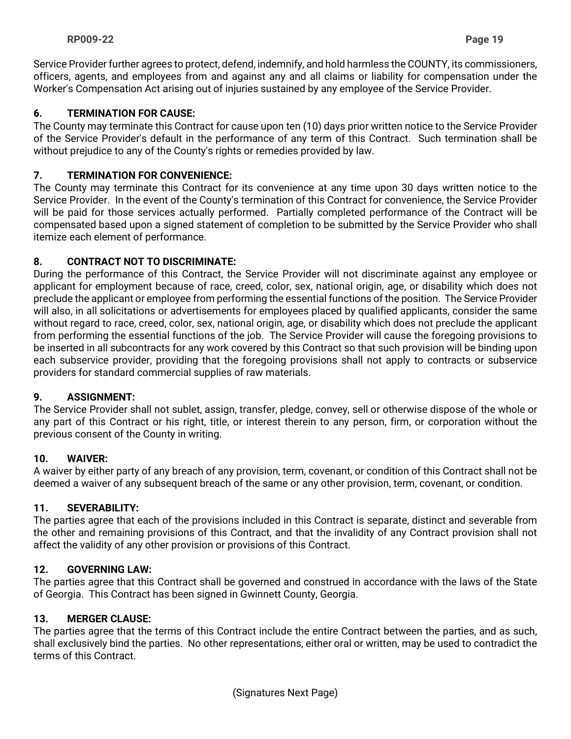Service Provider further agrees to protect, defend, indemnify, and hold harmless the COUNTY, its commissioners, officers, agents, and employees from and against any and all claims or liability for compensation under the Worker's Compensation Act arising out of injuries sustained by any employee of the Service Provider.

### **6. TERMINATION FOR CAUSE:**

The County may terminate this Contract for cause upon ten (10) days prior written notice to the Service Provider of the Service Provider's default in the performance of any term of this Contract. Such termination shall be without prejudice to any of the County's rights or remedies provided by law.

### **7. TERMINATION FOR CONVENIENCE:**

The County may terminate this Contract for its convenience at any time upon 30 days written notice to the Service Provider. In the event of the County's termination of this Contract for convenience, the Service Provider will be paid for those services actually performed. Partially completed performance of the Contract will be compensated based upon a signed statement of completion to be submitted by the Service Provider who shall itemize each element of performance.

### **8. CONTRACT NOT TO DISCRIMINATE:**

During the performance of this Contract, the Service Provider will not discriminate against any employee or applicant for employment because of race, creed, color, sex, national origin, age, or disability which does not preclude the applicant or employee from performing the essential functions of the position. The Service Provider will also, in all solicitations or advertisements for employees placed by qualified applicants, consider the same without regard to race, creed, color, sex, national origin, age, or disability which does not preclude the applicant from performing the essential functions of the job. The Service Provider will cause the foregoing provisions to be inserted in all subcontracts for any work covered by this Contract so that such provision will be binding upon each subservice provider, providing that the foregoing provisions shall not apply to contracts or subservice providers for standard commercial supplies of raw materials.

### **9. ASSIGNMENT:**

The Service Provider shall not sublet, assign, transfer, pledge, convey, sell or otherwise dispose of the whole or any part of this Contract or his right, title, or interest therein to any person, firm, or corporation without the previous consent of the County in writing.

### **10. WAIVER:**

A waiver by either party of any breach of any provision, term, covenant, or condition of this Contract shall not be deemed a waiver of any subsequent breach of the same or any other provision, term, covenant, or condition.

### **11. SEVERABILITY:**

The parties agree that each of the provisions included in this Contract is separate, distinct and severable from the other and remaining provisions of this Contract, and that the invalidity of any Contract provision shall not affect the validity of any other provision or provisions of this Contract.

### **12. GOVERNING LAW:**

The parties agree that this Contract shall be governed and construed in accordance with the laws of the State of Georgia. This Contract has been signed in Gwinnett County, Georgia.

### **13. MERGER CLAUSE:**

The parties agree that the terms of this Contract include the entire Contract between the parties, and as such, shall exclusively bind the parties. No other representations, either oral or written, may be used to contradict the terms of this Contract.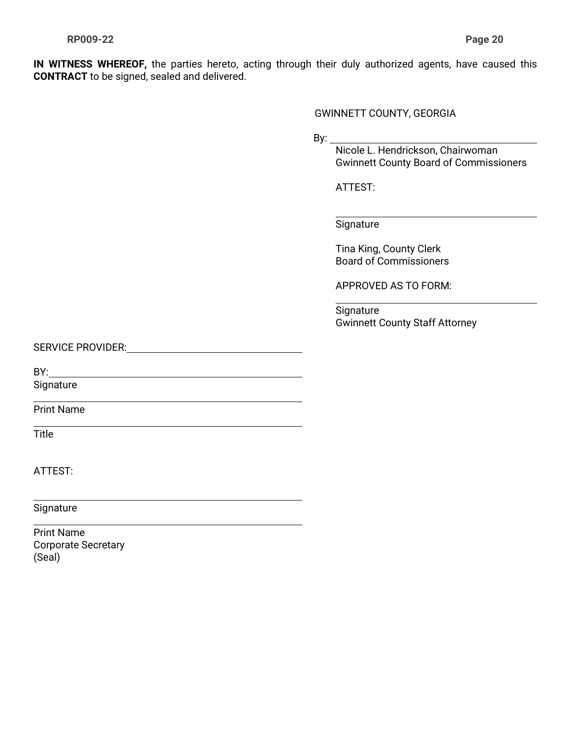**IN WITNESS WHEREOF,** the parties hereto, acting through their duly authorized agents, have caused this **CONTRACT** to be signed, sealed and delivered.

GWINNETT COUNTY, GEORGIA

By:  $\_$ 

 Nicole L. Hendrickson, Chairwoman Gwinnett County Board of Commissioners

ATTEST:

#### **Signature**

Tina King, County Clerk Board of Commissioners

APPROVED AS TO FORM:

Signature Gwinnett County Staff Attorney

SERVICE PROVIDER:

BY:

**Signature** 

Print Name

Title

 $\overline{a}$ 

ATTEST:

**Signature** 

Print Name Corporate Secretary (Seal)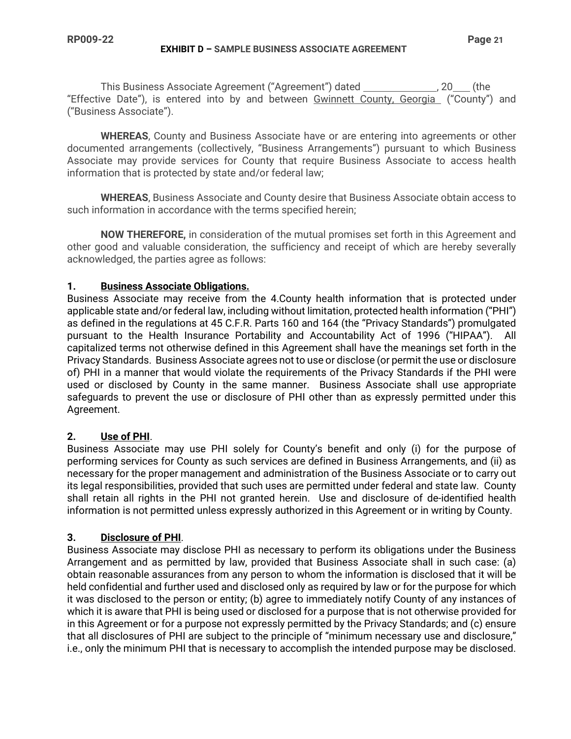#### **EXHIBIT D – SAMPLE BUSINESS ASSOCIATE AGREEMENT**

This Business Associate Agreement ("Agreement") dated \_\_\_\_\_\_\_\_\_\_\_\_\_\_\_, 20\_\_\_ (the "Effective Date"), is entered into by and between Gwinnett County, Georgia ("County") and ("Business Associate").

**WHEREAS**, County and Business Associate have or are entering into agreements or other documented arrangements (collectively, "Business Arrangements") pursuant to which Business Associate may provide services for County that require Business Associate to access health information that is protected by state and/or federal law;

**WHEREAS**, Business Associate and County desire that Business Associate obtain access to such information in accordance with the terms specified herein;

**NOW THEREFORE,** in consideration of the mutual promises set forth in this Agreement and other good and valuable consideration, the sufficiency and receipt of which are hereby severally acknowledged, the parties agree as follows:

#### **1. Business Associate Obligations.**

Business Associate may receive from the 4.County health information that is protected under applicable state and/or federal law, including without limitation, protected health information ("PHI") as defined in the regulations at 45 C.F.R. Parts 160 and 164 (the "Privacy Standards") promulgated pursuant to the Health Insurance Portability and Accountability Act of 1996 ("HIPAA"). All capitalized terms not otherwise defined in this Agreement shall have the meanings set forth in the Privacy Standards. Business Associate agrees not to use or disclose (or permit the use or disclosure of) PHI in a manner that would violate the requirements of the Privacy Standards if the PHI were used or disclosed by County in the same manner. Business Associate shall use appropriate safeguards to prevent the use or disclosure of PHI other than as expressly permitted under this Agreement.

### **2. Use of PHI**.

Business Associate may use PHI solely for County's benefit and only (i) for the purpose of performing services for County as such services are defined in Business Arrangements, and (ii) as necessary for the proper management and administration of the Business Associate or to carry out its legal responsibilities, provided that such uses are permitted under federal and state law. County shall retain all rights in the PHI not granted herein. Use and disclosure of de-identified health information is not permitted unless expressly authorized in this Agreement or in writing by County.

### **3. Disclosure of PHI**.

Business Associate may disclose PHI as necessary to perform its obligations under the Business Arrangement and as permitted by law, provided that Business Associate shall in such case: (a) obtain reasonable assurances from any person to whom the information is disclosed that it will be held confidential and further used and disclosed only as required by law or for the purpose for which it was disclosed to the person or entity; (b) agree to immediately notify County of any instances of which it is aware that PHI is being used or disclosed for a purpose that is not otherwise provided for in this Agreement or for a purpose not expressly permitted by the Privacy Standards; and (c) ensure that all disclosures of PHI are subject to the principle of "minimum necessary use and disclosure," i.e., only the minimum PHI that is necessary to accomplish the intended purpose may be disclosed.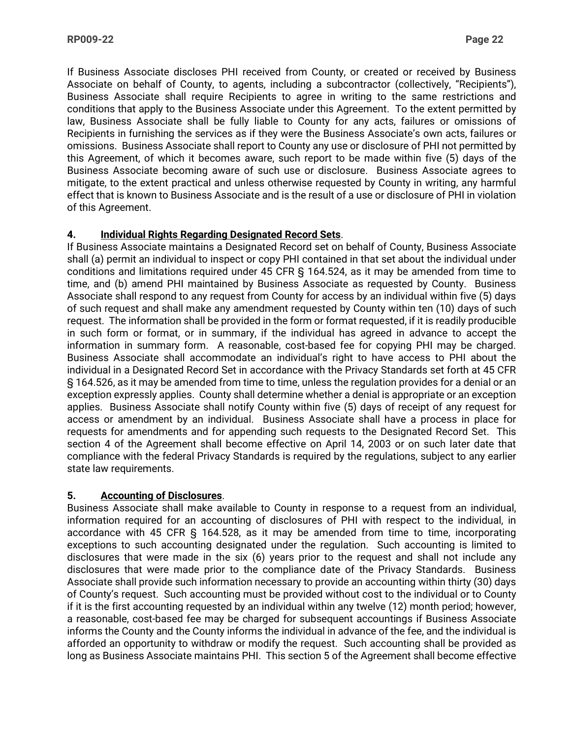If Business Associate discloses PHI received from County, or created or received by Business Associate on behalf of County, to agents, including a subcontractor (collectively, "Recipients"), Business Associate shall require Recipients to agree in writing to the same restrictions and conditions that apply to the Business Associate under this Agreement. To the extent permitted by law, Business Associate shall be fully liable to County for any acts, failures or omissions of Recipients in furnishing the services as if they were the Business Associate's own acts, failures or omissions. Business Associate shall report to County any use or disclosure of PHI not permitted by this Agreement, of which it becomes aware, such report to be made within five (5) days of the Business Associate becoming aware of such use or disclosure. Business Associate agrees to mitigate, to the extent practical and unless otherwise requested by County in writing, any harmful effect that is known to Business Associate and is the result of a use or disclosure of PHI in violation of this Agreement.

### **4. Individual Rights Regarding Designated Record Sets**.

If Business Associate maintains a Designated Record set on behalf of County, Business Associate shall (a) permit an individual to inspect or copy PHI contained in that set about the individual under conditions and limitations required under 45 CFR § 164.524, as it may be amended from time to time, and (b) amend PHI maintained by Business Associate as requested by County. Business Associate shall respond to any request from County for access by an individual within five (5) days of such request and shall make any amendment requested by County within ten (10) days of such request. The information shall be provided in the form or format requested, if it is readily producible in such form or format, or in summary, if the individual has agreed in advance to accept the information in summary form. A reasonable, cost-based fee for copying PHI may be charged. Business Associate shall accommodate an individual's right to have access to PHI about the individual in a Designated Record Set in accordance with the Privacy Standards set forth at 45 CFR § 164.526, as it may be amended from time to time, unless the regulation provides for a denial or an exception expressly applies. County shall determine whether a denial is appropriate or an exception applies. Business Associate shall notify County within five (5) days of receipt of any request for access or amendment by an individual. Business Associate shall have a process in place for requests for amendments and for appending such requests to the Designated Record Set. This section 4 of the Agreement shall become effective on April 14, 2003 or on such later date that compliance with the federal Privacy Standards is required by the regulations, subject to any earlier state law requirements.

### **5. Accounting of Disclosures**.

Business Associate shall make available to County in response to a request from an individual, information required for an accounting of disclosures of PHI with respect to the individual, in accordance with 45 CFR § 164.528, as it may be amended from time to time, incorporating exceptions to such accounting designated under the regulation. Such accounting is limited to disclosures that were made in the six (6) years prior to the request and shall not include any disclosures that were made prior to the compliance date of the Privacy Standards. Business Associate shall provide such information necessary to provide an accounting within thirty (30) days of County's request. Such accounting must be provided without cost to the individual or to County if it is the first accounting requested by an individual within any twelve (12) month period; however, a reasonable, cost-based fee may be charged for subsequent accountings if Business Associate informs the County and the County informs the individual in advance of the fee, and the individual is afforded an opportunity to withdraw or modify the request. Such accounting shall be provided as long as Business Associate maintains PHI. This section 5 of the Agreement shall become effective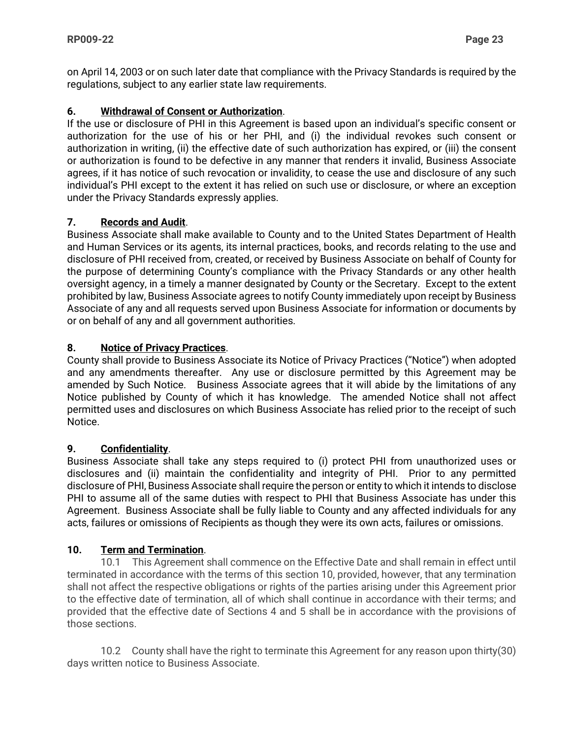on April 14, 2003 or on such later date that compliance with the Privacy Standards is required by the regulations, subject to any earlier state law requirements.

### **6. Withdrawal of Consent or Authorization**.

If the use or disclosure of PHI in this Agreement is based upon an individual's specific consent or authorization for the use of his or her PHI, and (i) the individual revokes such consent or authorization in writing, (ii) the effective date of such authorization has expired, or (iii) the consent or authorization is found to be defective in any manner that renders it invalid, Business Associate agrees, if it has notice of such revocation or invalidity, to cease the use and disclosure of any such individual's PHI except to the extent it has relied on such use or disclosure, or where an exception under the Privacy Standards expressly applies.

### **7. Records and Audit**.

Business Associate shall make available to County and to the United States Department of Health and Human Services or its agents, its internal practices, books, and records relating to the use and disclosure of PHI received from, created, or received by Business Associate on behalf of County for the purpose of determining County's compliance with the Privacy Standards or any other health oversight agency, in a timely a manner designated by County or the Secretary. Except to the extent prohibited by law, Business Associate agrees to notify County immediately upon receipt by Business Associate of any and all requests served upon Business Associate for information or documents by or on behalf of any and all government authorities.

### **8. Notice of Privacy Practices**.

County shall provide to Business Associate its Notice of Privacy Practices ("Notice") when adopted and any amendments thereafter. Any use or disclosure permitted by this Agreement may be amended by Such Notice. Business Associate agrees that it will abide by the limitations of any Notice published by County of which it has knowledge. The amended Notice shall not affect permitted uses and disclosures on which Business Associate has relied prior to the receipt of such Notice.

### **9. Confidentiality**.

Business Associate shall take any steps required to (i) protect PHI from unauthorized uses or disclosures and (ii) maintain the confidentiality and integrity of PHI. Prior to any permitted disclosure of PHI, Business Associate shall require the person or entity to which it intends to disclose PHI to assume all of the same duties with respect to PHI that Business Associate has under this Agreement. Business Associate shall be fully liable to County and any affected individuals for any acts, failures or omissions of Recipients as though they were its own acts, failures or omissions.

### **10. Term and Termination**.

10.1 This Agreement shall commence on the Effective Date and shall remain in effect until terminated in accordance with the terms of this section 10, provided, however, that any termination shall not affect the respective obligations or rights of the parties arising under this Agreement prior to the effective date of termination, all of which shall continue in accordance with their terms; and provided that the effective date of Sections 4 and 5 shall be in accordance with the provisions of those sections.

10.2 County shall have the right to terminate this Agreement for any reason upon thirty(30) days written notice to Business Associate.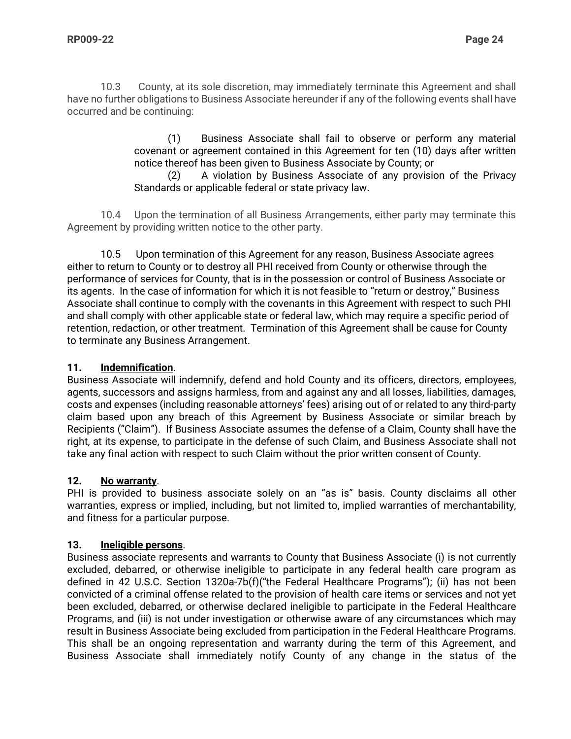10.3 County, at its sole discretion, may immediately terminate this Agreement and shall have no further obligations to Business Associate hereunder if any of the following events shall have occurred and be continuing:

> (1) Business Associate shall fail to observe or perform any material covenant or agreement contained in this Agreement for ten (10) days after written notice thereof has been given to Business Associate by County; or

> (2) A violation by Business Associate of any provision of the Privacy Standards or applicable federal or state privacy law.

10.4 Upon the termination of all Business Arrangements, either party may terminate this Agreement by providing written notice to the other party.

10.5 Upon termination of this Agreement for any reason, Business Associate agrees either to return to County or to destroy all PHI received from County or otherwise through the performance of services for County, that is in the possession or control of Business Associate or its agents. In the case of information for which it is not feasible to "return or destroy," Business Associate shall continue to comply with the covenants in this Agreement with respect to such PHI and shall comply with other applicable state or federal law, which may require a specific period of retention, redaction, or other treatment. Termination of this Agreement shall be cause for County to terminate any Business Arrangement.

### **11. Indemnification**.

Business Associate will indemnify, defend and hold County and its officers, directors, employees, agents, successors and assigns harmless, from and against any and all losses, liabilities, damages, costs and expenses (including reasonable attorneys' fees) arising out of or related to any third-party claim based upon any breach of this Agreement by Business Associate or similar breach by Recipients ("Claim"). If Business Associate assumes the defense of a Claim, County shall have the right, at its expense, to participate in the defense of such Claim, and Business Associate shall not take any final action with respect to such Claim without the prior written consent of County.

### **12. No warranty**.

PHI is provided to business associate solely on an "as is" basis. County disclaims all other warranties, express or implied, including, but not limited to, implied warranties of merchantability, and fitness for a particular purpose.

### **13. Ineligible persons**.

Business associate represents and warrants to County that Business Associate (i) is not currently excluded, debarred, or otherwise ineligible to participate in any federal health care program as defined in 42 U.S.C. Section 1320a-7b(f)("the Federal Healthcare Programs"); (ii) has not been convicted of a criminal offense related to the provision of health care items or services and not yet been excluded, debarred, or otherwise declared ineligible to participate in the Federal Healthcare Programs, and (iii) is not under investigation or otherwise aware of any circumstances which may result in Business Associate being excluded from participation in the Federal Healthcare Programs. This shall be an ongoing representation and warranty during the term of this Agreement, and Business Associate shall immediately notify County of any change in the status of the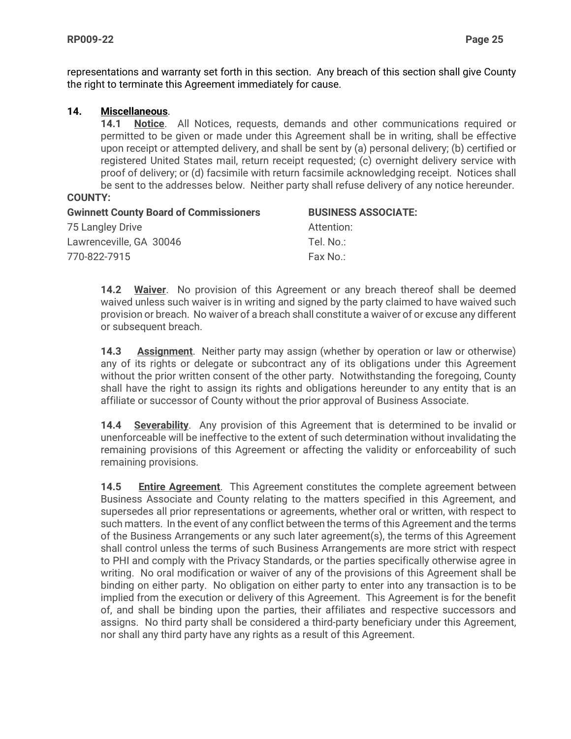representations and warranty set forth in this section. Any breach of this section shall give County the right to terminate this Agreement immediately for cause.

### **14. Miscellaneous**.

**14.1 Notice**. All Notices, requests, demands and other communications required or permitted to be given or made under this Agreement shall be in writing, shall be effective upon receipt or attempted delivery, and shall be sent by (a) personal delivery; (b) certified or registered United States mail, return receipt requested; (c) overnight delivery service with proof of delivery; or (d) facsimile with return facsimile acknowledging receipt. Notices shall be sent to the addresses below. Neither party shall refuse delivery of any notice hereunder.

#### **COUNTY:**

| <b>Gwinnett County Board of Commissioners</b> | <b>BUSINESS ASSOCIATE:</b> |
|-----------------------------------------------|----------------------------|
| 75 Langley Drive                              | Attention:                 |
| Lawrenceville, GA 30046                       | Tel. No.:                  |
| 770-822-7915                                  | Fax No∴                    |

**14.2 Waiver**. No provision of this Agreement or any breach thereof shall be deemed waived unless such waiver is in writing and signed by the party claimed to have waived such provision or breach. No waiver of a breach shall constitute a waiver of or excuse any different or subsequent breach.

**14.3 Assignment**. Neither party may assign (whether by operation or law or otherwise) any of its rights or delegate or subcontract any of its obligations under this Agreement without the prior written consent of the other party. Notwithstanding the foregoing, County shall have the right to assign its rights and obligations hereunder to any entity that is an affiliate or successor of County without the prior approval of Business Associate.

**14.4 Severability**. Any provision of this Agreement that is determined to be invalid or unenforceable will be ineffective to the extent of such determination without invalidating the remaining provisions of this Agreement or affecting the validity or enforceability of such remaining provisions.

**14.5 Entire Agreement**. This Agreement constitutes the complete agreement between Business Associate and County relating to the matters specified in this Agreement, and supersedes all prior representations or agreements, whether oral or written, with respect to such matters. In the event of any conflict between the terms of this Agreement and the terms of the Business Arrangements or any such later agreement(s), the terms of this Agreement shall control unless the terms of such Business Arrangements are more strict with respect to PHI and comply with the Privacy Standards, or the parties specifically otherwise agree in writing. No oral modification or waiver of any of the provisions of this Agreement shall be binding on either party. No obligation on either party to enter into any transaction is to be implied from the execution or delivery of this Agreement. This Agreement is for the benefit of, and shall be binding upon the parties, their affiliates and respective successors and assigns. No third party shall be considered a third-party beneficiary under this Agreement, nor shall any third party have any rights as a result of this Agreement.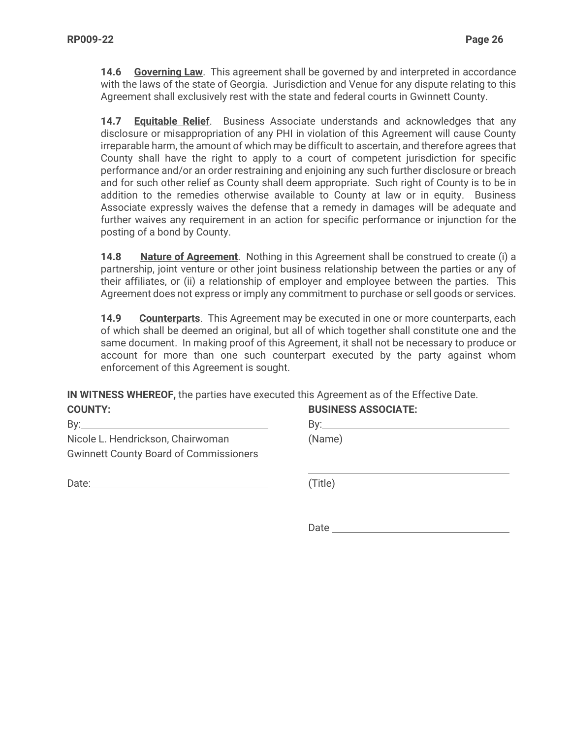**14.6 Governing Law**. This agreement shall be governed by and interpreted in accordance with the laws of the state of Georgia. Jurisdiction and Venue for any dispute relating to this Agreement shall exclusively rest with the state and federal courts in Gwinnett County.

**14.7 Equitable Relief**. Business Associate understands and acknowledges that any disclosure or misappropriation of any PHI in violation of this Agreement will cause County irreparable harm, the amount of which may be difficult to ascertain, and therefore agrees that County shall have the right to apply to a court of competent jurisdiction for specific performance and/or an order restraining and enjoining any such further disclosure or breach and for such other relief as County shall deem appropriate. Such right of County is to be in addition to the remedies otherwise available to County at law or in equity. Business Associate expressly waives the defense that a remedy in damages will be adequate and further waives any requirement in an action for specific performance or injunction for the posting of a bond by County.

**14.8 Nature of Agreement**. Nothing in this Agreement shall be construed to create (i) a partnership, joint venture or other joint business relationship between the parties or any of their affiliates, or (ii) a relationship of employer and employee between the parties. This Agreement does not express or imply any commitment to purchase or sell goods or services.

**14.9 Counterparts**. This Agreement may be executed in one or more counterparts, each of which shall be deemed an original, but all of which together shall constitute one and the same document. In making proof of this Agreement, it shall not be necessary to produce or account for more than one such counterpart executed by the party against whom enforcement of this Agreement is sought.

**IN WITNESS WHEREOF,** the parties have executed this Agreement as of the Effective Date. **COUNTY: BUSINESS ASSOCIATE:**

| <u>UUUIII.</u>                                | <b>PUUINLUU AUUUUIATE:</b> |
|-----------------------------------------------|----------------------------|
| By:                                           | Bv:                        |
| Nicole L. Hendrickson, Chairwoman             | (Name)                     |
| <b>Gwinnett County Board of Commissioners</b> |                            |
|                                               |                            |
| Date:                                         | (Title)                    |

Date and the contract of the contract of the contract of the contract of the contract of the contract of the contract of the contract of the contract of the contract of the contract of the contract of the contract of the c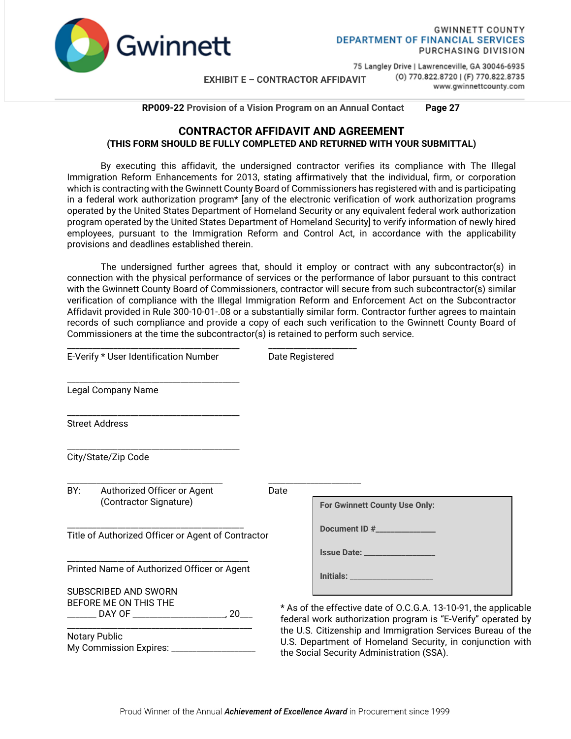

**GWINNETT COUNTY DEPARTMENT OF FINANCIAL SERVICES** PURCHASING DIVISION

**EXHIBIT E – CONTRACTOR AFFIDAVIT**

75 Langley Drive | Lawrenceville, GA 30046-6935 (0) 770.822.8720 | (F) 770.822.8735 www.gwinnettcounty.com

 **RP009-22 Provision of a Vision Program on an Annual Contact Page 27**

#### **CONTRACTOR AFFIDAVIT AND AGREEMENT (THIS FORM SHOULD BE FULLY COMPLETED AND RETURNED WITH YOUR SUBMITTAL)**

By executing this affidavit, the undersigned contractor verifies its compliance with The Illegal Immigration Reform Enhancements for 2013, stating affirmatively that the individual, firm, or corporation which is contracting with the Gwinnett County Board of Commissioners has registered with and is participating in a federal work authorization program\* [any of the electronic verification of work authorization programs operated by the United States Department of Homeland Security or any equivalent federal work authorization program operated by the United States Department of Homeland Security] to verify information of newly hired employees, pursuant to the Immigration Reform and Control Act, in accordance with the applicability provisions and deadlines established therein.

The undersigned further agrees that, should it employ or contract with any subcontractor(s) in connection with the physical performance of services or the performance of labor pursuant to this contract with the Gwinnett County Board of Commissioners, contractor will secure from such subcontractor(s) similar verification of compliance with the Illegal Immigration Reform and Enforcement Act on the Subcontractor Affidavit provided in Rule 300-10-01-.08 or a substantially similar form. Contractor further agrees to maintain records of such compliance and provide a copy of each such verification to the Gwinnett County Board of Commissioners at the time the subcontractor(s) is retained to perform such service.

| E-Verify * User Identification Number                    |                                                                                                      | Date Registered                                                                                                                                                       |                                                                                                                                 |
|----------------------------------------------------------|------------------------------------------------------------------------------------------------------|-----------------------------------------------------------------------------------------------------------------------------------------------------------------------|---------------------------------------------------------------------------------------------------------------------------------|
|                                                          | Legal Company Name                                                                                   |                                                                                                                                                                       |                                                                                                                                 |
|                                                          | <b>Street Address</b>                                                                                |                                                                                                                                                                       |                                                                                                                                 |
|                                                          | City/State/Zip Code                                                                                  |                                                                                                                                                                       |                                                                                                                                 |
| BY:                                                      | Authorized Officer or Agent<br>(Contractor Signature)                                                | Date                                                                                                                                                                  | For Gwinnett County Use Only:                                                                                                   |
| Title of Authorized Officer or Agent of Contractor       |                                                                                                      | Document ID #                                                                                                                                                         |                                                                                                                                 |
|                                                          |                                                                                                      |                                                                                                                                                                       |                                                                                                                                 |
| Printed Name of Authorized Officer or Agent              |                                                                                                      | Initials: Maria Maria Maria Maria Maria Maria Maria Maria Maria Maria Maria Maria Maria Maria Maria Maria Mari                                                        |                                                                                                                                 |
|                                                          | SUBSCRIBED AND SWORN<br>BEFORE ME ON THIS THE<br>________ DAY OF ____________________________, 20___ |                                                                                                                                                                       | * As of the effective date of O.C.G.A. 13-10-91, the applicable<br>federal work authorization program is "E-Verify" operated by |
| <b>Notary Public</b><br>My Commission Expires: _________ |                                                                                                      | the U.S. Citizenship and Immigration Services Bureau of the<br>U.S. Department of Homeland Security, in conjunction with<br>the Social Security Administration (SSA). |                                                                                                                                 |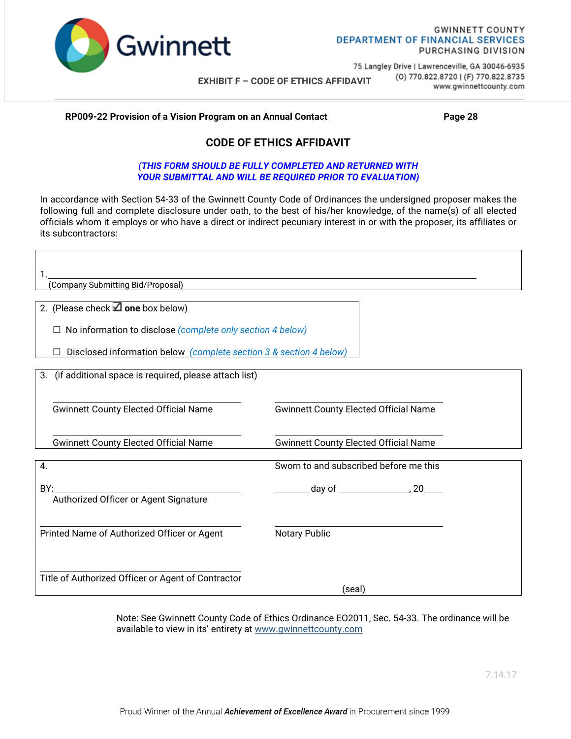

**EXHIBIT F – CODE OF ETHICS AFFIDAVIT**

75 Langley Drive | Lawrenceville, GA 30046-6935 (0) 770.822.8720 | (F) 770.822.8735 www.gwinnettcounty.com

#### **RP009-22 Provision of a Vision Program on an Annual Contact Page 28**

### **CODE OF ETHICS AFFIDAVIT**

#### *(THIS FORM SHOULD BE FULLY COMPLETED AND RETURNED WITH YOUR SUBMITTAL AND WILL BE REQUIRED PRIOR TO EVALUATION)*

In accordance with Section 54-33 of the Gwinnett County Code of Ordinances the undersigned proposer makes the following full and complete disclosure under oath, to the best of his/her knowledge, of the name(s) of all elected officials whom it employs or who have a direct or indirect pecuniary interest in or with the proposer, its affiliates or its subcontractors:

| (Company Submitting Bid/Proposal)                                                                                                |                                              |  |  |
|----------------------------------------------------------------------------------------------------------------------------------|----------------------------------------------|--|--|
| 2. (Please check $\Box$ one box below)                                                                                           |                                              |  |  |
| No information to disclose (complete only section 4 below)<br>Disclosed information below (complete section 3 & section 4 below) |                                              |  |  |
| 3. (if additional space is required, please attach list)                                                                         |                                              |  |  |
| <b>Gwinnett County Elected Official Name</b>                                                                                     | <b>Gwinnett County Elected Official Name</b> |  |  |
| <b>Gwinnett County Elected Official Name</b>                                                                                     | <b>Gwinnett County Elected Official Name</b> |  |  |
| 4.                                                                                                                               | Sworn to and subscribed before me this       |  |  |
| BY:<br>Authorized Officer or Agent Signature                                                                                     | $\frac{1}{20}$ day of $\frac{1}{20}$         |  |  |
| Printed Name of Authorized Officer or Agent                                                                                      | <b>Notary Public</b>                         |  |  |
| Title of Authorized Officer or Agent of Contractor                                                                               | (seal)                                       |  |  |

Note: See Gwinnett County Code of Ethics Ordinance EO2011, Sec. 54-33. The ordinance will be available to view in its' entirety at [www.gwinnettcounty.com](http://www.gwinnettcounty.com/)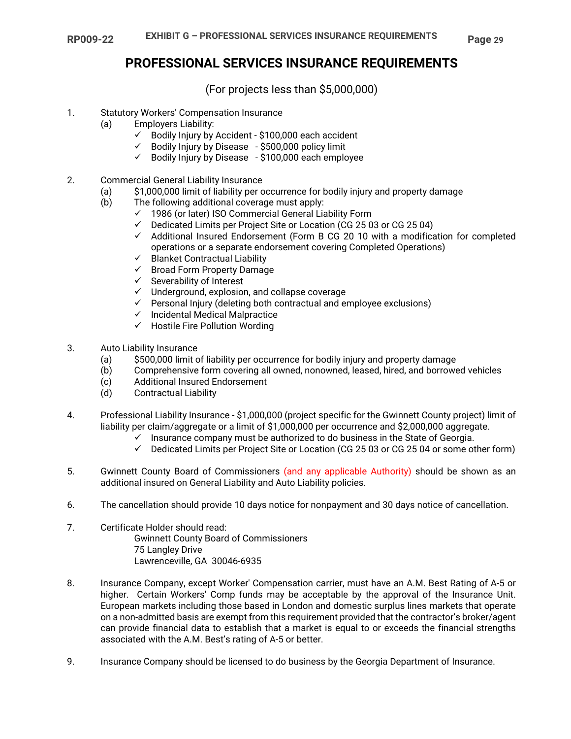### **PROFESSIONAL SERVICES INSURANCE REQUIREMENTS**

(For projects less than \$5,000,000)

#### 1. Statutory Workers' Compensation Insurance

- (a) Employers Liability:
	- $\checkmark$  Bodily Injury by Accident \$100,000 each accident
	- $\checkmark$  Bodily Injury by Disease \$500,000 policy limit
	- $\checkmark$  Bodily Injury by Disease \$100,000 each employee
- 2. Commercial General Liability Insurance
	- (a) \$1,000,000 limit of liability per occurrence for bodily injury and property damage
	- (b) The following additional coverage must apply:
		- $\checkmark$  1986 (or later) ISO Commercial General Liability Form
		- $\checkmark$  Dedicated Limits per Project Site or Location (CG 25 03 or CG 25 04)
		- $\checkmark$  Additional Insured Endorsement (Form B CG 20 10 with a modification for completed operations or a separate endorsement covering Completed Operations)
		- $\checkmark$  Blanket Contractual Liability
		- $\checkmark$  Broad Form Property Damage
		- $\checkmark$  Severability of Interest
		- $\checkmark$  Underground, explosion, and collapse coverage
		- $\checkmark$  Personal Injury (deleting both contractual and employee exclusions)
		- $\checkmark$  Incidental Medical Malpractice
		- $\checkmark$  Hostile Fire Pollution Wording
- 3. Auto Liability Insurance
	- (a) \$500,000 limit of liability per occurrence for bodily injury and property damage
	- (b) Comprehensive form covering all owned, nonowned, leased, hired, and borrowed vehicles
	- (c) Additional Insured Endorsement
	- (d) Contractual Liability
- 4. Professional Liability Insurance \$1,000,000 (project specific for the Gwinnett County project) limit of liability per claim/aggregate or a limit of \$1,000,000 per occurrence and \$2,000,000 aggregate.
	- $\checkmark$  Insurance company must be authorized to do business in the State of Georgia.
	- $\checkmark$  Dedicated Limits per Project Site or Location (CG 25 03 or CG 25 04 or some other form)
- 5. Gwinnett County Board of Commissioners (and any applicable Authority) should be shown as an additional insured on General Liability and Auto Liability policies.
- 6. The cancellation should provide 10 days notice for nonpayment and 30 days notice of cancellation.
- 7. Certificate Holder should read: Gwinnett County Board of Commissioners 75 Langley Drive Lawrenceville, GA 30046-6935
- 8. Insurance Company, except Worker' Compensation carrier, must have an A.M. Best Rating of A-5 or higher. Certain Workers' Comp funds may be acceptable by the approval of the Insurance Unit. European markets including those based in London and domestic surplus lines markets that operate on a non-admitted basis are exempt from this requirement provided that the contractor's broker/agent can provide financial data to establish that a market is equal to or exceeds the financial strengths associated with the A.M. Best's rating of A-5 or better.
- 9. Insurance Company should be licensed to do business by the Georgia Department of Insurance.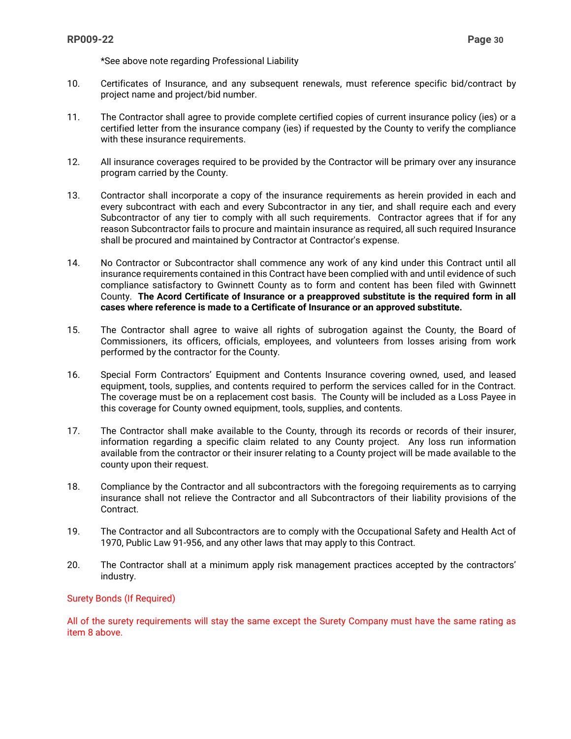\*See above note regarding Professional Liability

- 10. Certificates of Insurance, and any subsequent renewals, must reference specific bid/contract by project name and project/bid number.
- 11. The Contractor shall agree to provide complete certified copies of current insurance policy (ies) or a certified letter from the insurance company (ies) if requested by the County to verify the compliance with these insurance requirements.
- 12. All insurance coverages required to be provided by the Contractor will be primary over any insurance program carried by the County.
- 13. Contractor shall incorporate a copy of the insurance requirements as herein provided in each and every subcontract with each and every Subcontractor in any tier, and shall require each and every Subcontractor of any tier to comply with all such requirements. Contractor agrees that if for any reason Subcontractor fails to procure and maintain insurance as required, all such required Insurance shall be procured and maintained by Contractor at Contractor's expense.
- 14. No Contractor or Subcontractor shall commence any work of any kind under this Contract until all insurance requirements contained in this Contract have been complied with and until evidence of such compliance satisfactory to Gwinnett County as to form and content has been filed with Gwinnett County. **The Acord Certificate of Insurance or a preapproved substitute is the required form in all cases where reference is made to a Certificate of Insurance or an approved substitute.**
- 15. The Contractor shall agree to waive all rights of subrogation against the County, the Board of Commissioners, its officers, officials, employees, and volunteers from losses arising from work performed by the contractor for the County.
- 16. Special Form Contractors' Equipment and Contents Insurance covering owned, used, and leased equipment, tools, supplies, and contents required to perform the services called for in the Contract. The coverage must be on a replacement cost basis. The County will be included as a Loss Payee in this coverage for County owned equipment, tools, supplies, and contents.
- 17. The Contractor shall make available to the County, through its records or records of their insurer, information regarding a specific claim related to any County project. Any loss run information available from the contractor or their insurer relating to a County project will be made available to the county upon their request.
- 18. Compliance by the Contractor and all subcontractors with the foregoing requirements as to carrying insurance shall not relieve the Contractor and all Subcontractors of their liability provisions of the Contract.
- 19. The Contractor and all Subcontractors are to comply with the Occupational Safety and Health Act of 1970, Public Law 91-956, and any other laws that may apply to this Contract.
- 20. The Contractor shall at a minimum apply risk management practices accepted by the contractors' industry.

#### Surety Bonds (If Required)

All of the surety requirements will stay the same except the Surety Company must have the same rating as item 8 above.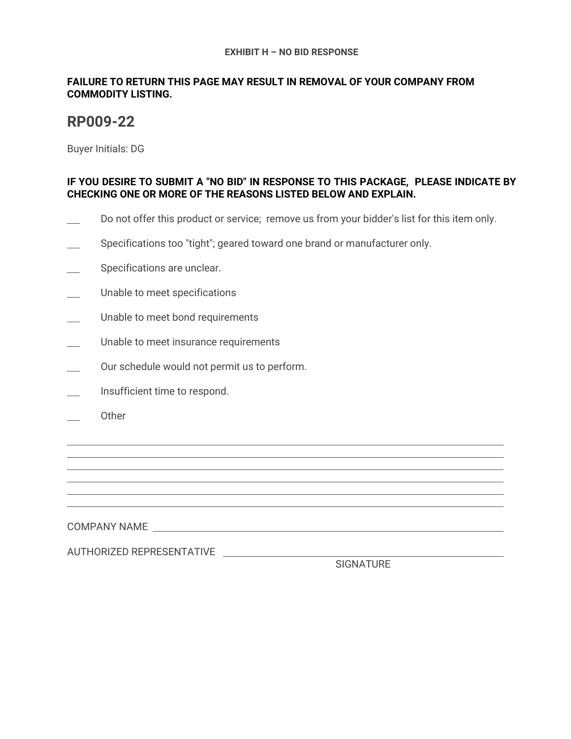#### **EXHIBIT H – NO BID RESPONSE**

### **FAILURE TO RETURN THIS PAGE MAY RESULT IN REMOVAL OF YOUR COMPANY FROM COMMODITY LISTING.**

# **RP009-22**

Buyer Initials: DG

### **IF YOU DESIRE TO SUBMIT A "NO BID" IN RESPONSE TO THIS PACKAGE, PLEASE INDICATE BY CHECKING ONE OR MORE OF THE REASONS LISTED BELOW AND EXPLAIN.**

- Do not offer this product or service; remove us from your bidder's list for this item only.
- Specifications too "tight"; geared toward one brand or manufacturer only.
- Specifications are unclear.
- Unable to meet specifications
- Unable to meet bond requirements
- Unable to meet insurance requirements
- Our schedule would not permit us to perform.
- Insufficient time to respond.
- Other

l l  $\overline{a}$  $\overline{a}$  $\overline{a}$ l

COMPANY NAME

AUTHORIZED REPRESENTATIVE

SIGNATURE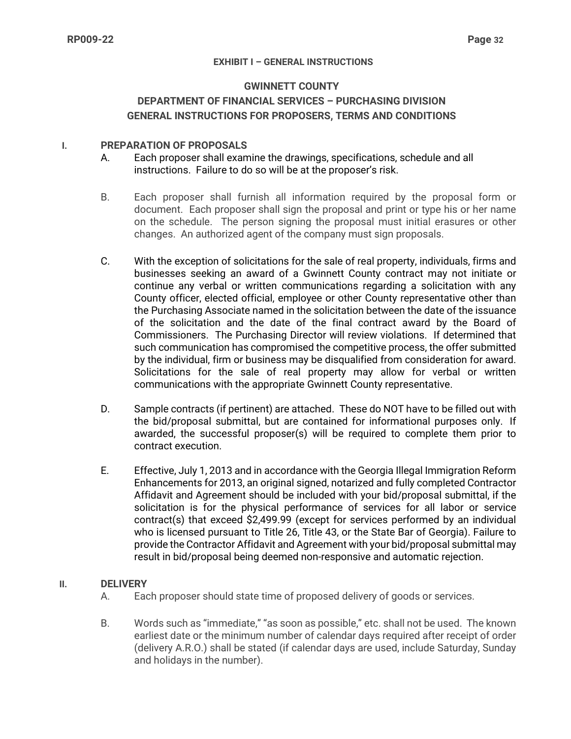#### **EXHIBIT I – GENERAL INSTRUCTIONS**

#### **GWINNETT COUNTY**

### **DEPARTMENT OF FINANCIAL SERVICES – PURCHASING DIVISION GENERAL INSTRUCTIONS FOR PROPOSERS, TERMS AND CONDITIONS**

### **I. PREPARATION OF PROPOSALS**

- A. Each proposer shall examine the drawings, specifications, schedule and all instructions. Failure to do so will be at the proposer's risk.
- B. Each proposer shall furnish all information required by the proposal form or document. Each proposer shall sign the proposal and print or type his or her name on the schedule. The person signing the proposal must initial erasures or other changes. An authorized agent of the company must sign proposals.
- C. With the exception of solicitations for the sale of real property, individuals, firms and businesses seeking an award of a Gwinnett County contract may not initiate or continue any verbal or written communications regarding a solicitation with any County officer, elected official, employee or other County representative other than the Purchasing Associate named in the solicitation between the date of the issuance of the solicitation and the date of the final contract award by the Board of Commissioners. The Purchasing Director will review violations. If determined that such communication has compromised the competitive process, the offer submitted by the individual, firm or business may be disqualified from consideration for award. Solicitations for the sale of real property may allow for verbal or written communications with the appropriate Gwinnett County representative.
- D. Sample contracts (if pertinent) are attached. These do NOT have to be filled out with the bid/proposal submittal, but are contained for informational purposes only. If awarded, the successful proposer(s) will be required to complete them prior to contract execution.
- E. Effective, July 1, 2013 and in accordance with the Georgia Illegal Immigration Reform Enhancements for 2013, an original signed, notarized and fully completed Contractor Affidavit and Agreement should be included with your bid/proposal submittal, if the solicitation is for the physical performance of services for all labor or service contract(s) that exceed \$2,499.99 (except for services performed by an individual who is licensed pursuant to Title 26, Title 43, or the State Bar of Georgia). Failure to provide the Contractor Affidavit and Agreement with your bid/proposal submittal may result in bid/proposal being deemed non-responsive and automatic rejection.

#### **II. DELIVERY**

- A. Each proposer should state time of proposed delivery of goods or services.
- B. Words such as "immediate," "as soon as possible," etc. shall not be used. The known earliest date or the minimum number of calendar days required after receipt of order (delivery A.R.O.) shall be stated (if calendar days are used, include Saturday, Sunday and holidays in the number).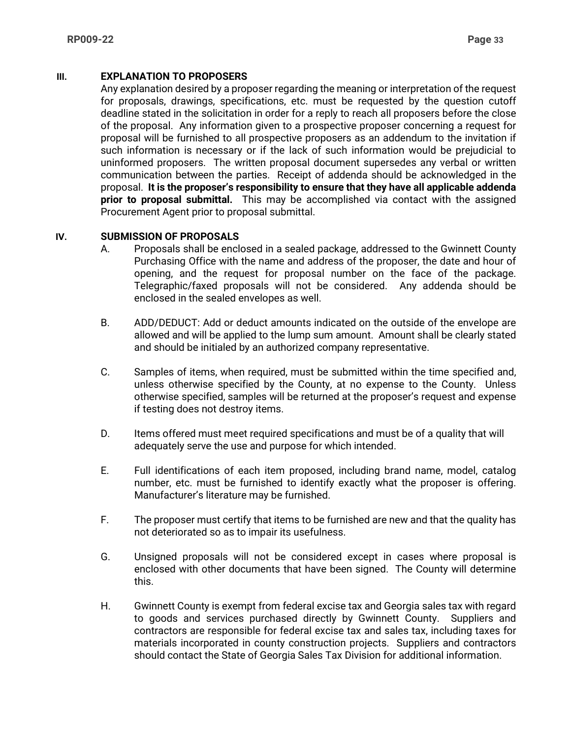### **III. EXPLANATION TO PROPOSERS**

Any explanation desired by a proposer regarding the meaning or interpretation of the request for proposals, drawings, specifications, etc. must be requested by the question cutoff deadline stated in the solicitation in order for a reply to reach all proposers before the close of the proposal. Any information given to a prospective proposer concerning a request for proposal will be furnished to all prospective proposers as an addendum to the invitation if such information is necessary or if the lack of such information would be prejudicial to uninformed proposers. The written proposal document supersedes any verbal or written communication between the parties. Receipt of addenda should be acknowledged in the proposal. **It is the proposer's responsibility to ensure that they have all applicable addenda prior to proposal submittal.** This may be accomplished via contact with the assigned Procurement Agent prior to proposal submittal.

#### **IV. SUBMISSION OF PROPOSALS**

- A. Proposals shall be enclosed in a sealed package, addressed to the Gwinnett County Purchasing Office with the name and address of the proposer, the date and hour of opening, and the request for proposal number on the face of the package. Telegraphic/faxed proposals will not be considered. Any addenda should be enclosed in the sealed envelopes as well.
- B. ADD/DEDUCT: Add or deduct amounts indicated on the outside of the envelope are allowed and will be applied to the lump sum amount. Amount shall be clearly stated and should be initialed by an authorized company representative.
- C. Samples of items, when required, must be submitted within the time specified and, unless otherwise specified by the County, at no expense to the County. Unless otherwise specified, samples will be returned at the proposer's request and expense if testing does not destroy items.
- D. Items offered must meet required specifications and must be of a quality that will adequately serve the use and purpose for which intended.
- E. Full identifications of each item proposed, including brand name, model, catalog number, etc. must be furnished to identify exactly what the proposer is offering. Manufacturer's literature may be furnished.
- F. The proposer must certify that items to be furnished are new and that the quality has not deteriorated so as to impair its usefulness.
- G. Unsigned proposals will not be considered except in cases where proposal is enclosed with other documents that have been signed. The County will determine this.
- H. Gwinnett County is exempt from federal excise tax and Georgia sales tax with regard to goods and services purchased directly by Gwinnett County. Suppliers and contractors are responsible for federal excise tax and sales tax, including taxes for materials incorporated in county construction projects. Suppliers and contractors should contact the State of Georgia Sales Tax Division for additional information.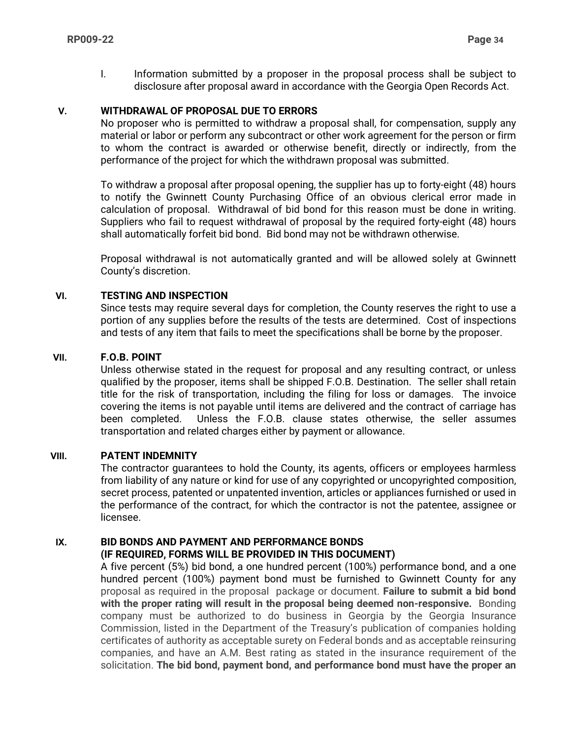I. Information submitted by a proposer in the proposal process shall be subject to disclosure after proposal award in accordance with the Georgia Open Records Act.

### **V. WITHDRAWAL OF PROPOSAL DUE TO ERRORS**

No proposer who is permitted to withdraw a proposal shall, for compensation, supply any material or labor or perform any subcontract or other work agreement for the person or firm to whom the contract is awarded or otherwise benefit, directly or indirectly, from the performance of the project for which the withdrawn proposal was submitted.

To withdraw a proposal after proposal opening, the supplier has up to forty-eight (48) hours to notify the Gwinnett County Purchasing Office of an obvious clerical error made in calculation of proposal. Withdrawal of bid bond for this reason must be done in writing. Suppliers who fail to request withdrawal of proposal by the required forty-eight (48) hours shall automatically forfeit bid bond. Bid bond may not be withdrawn otherwise.

Proposal withdrawal is not automatically granted and will be allowed solely at Gwinnett County's discretion.

#### **VI. TESTING AND INSPECTION**

Since tests may require several days for completion, the County reserves the right to use a portion of any supplies before the results of the tests are determined. Cost of inspections and tests of any item that fails to meet the specifications shall be borne by the proposer.

#### **VII. F.O.B. POINT**

Unless otherwise stated in the request for proposal and any resulting contract, or unless qualified by the proposer, items shall be shipped F.O.B. Destination. The seller shall retain title for the risk of transportation, including the filing for loss or damages. The invoice covering the items is not payable until items are delivered and the contract of carriage has been completed. Unless the F.O.B. clause states otherwise, the seller assumes transportation and related charges either by payment or allowance.

### **VIII. PATENT INDEMNITY**

The contractor guarantees to hold the County, its agents, officers or employees harmless from liability of any nature or kind for use of any copyrighted or uncopyrighted composition, secret process, patented or unpatented invention, articles or appliances furnished or used in the performance of the contract, for which the contractor is not the patentee, assignee or licensee.

# **IX. BID BONDS AND PAYMENT AND PERFORMANCE BONDS**

### **(IF REQUIRED, FORMS WILL BE PROVIDED IN THIS DOCUMENT)**

A five percent (5%) bid bond, a one hundred percent (100%) performance bond, and a one hundred percent (100%) payment bond must be furnished to Gwinnett County for any proposal as required in the proposal package or document. **Failure to submit a bid bond with the proper rating will result in the proposal being deemed non-responsive.** Bonding company must be authorized to do business in Georgia by the Georgia Insurance Commission, listed in the Department of the Treasury's publication of companies holding certificates of authority as acceptable surety on Federal bonds and as acceptable reinsuring companies, and have an A.M. Best rating as stated in the insurance requirement of the solicitation. **The bid bond, payment bond, and performance bond must have the proper an**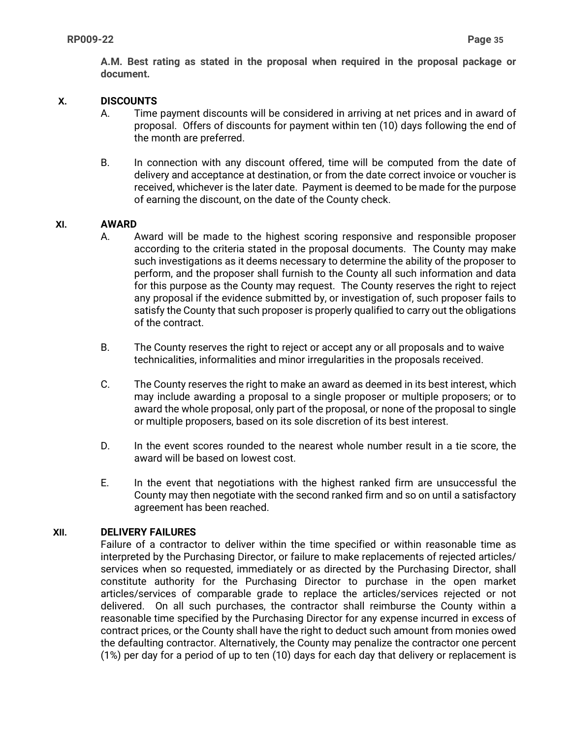**A.M. Best rating as stated in the proposal when required in the proposal package or document.** 

### **X. DISCOUNTS**

- A. Time payment discounts will be considered in arriving at net prices and in award of proposal. Offers of discounts for payment within ten (10) days following the end of the month are preferred.
- B. In connection with any discount offered, time will be computed from the date of delivery and acceptance at destination, or from the date correct invoice or voucher is received, whichever is the later date. Payment is deemed to be made for the purpose of earning the discount, on the date of the County check.

### **XI. AWARD**

- A. Award will be made to the highest scoring responsive and responsible proposer according to the criteria stated in the proposal documents. The County may make such investigations as it deems necessary to determine the ability of the proposer to perform, and the proposer shall furnish to the County all such information and data for this purpose as the County may request. The County reserves the right to reject any proposal if the evidence submitted by, or investigation of, such proposer fails to satisfy the County that such proposer is properly qualified to carry out the obligations of the contract.
- B. The County reserves the right to reject or accept any or all proposals and to waive technicalities, informalities and minor irregularities in the proposals received.
- C. The County reserves the right to make an award as deemed in its best interest, which may include awarding a proposal to a single proposer or multiple proposers; or to award the whole proposal, only part of the proposal, or none of the proposal to single or multiple proposers, based on its sole discretion of its best interest.
- D. In the event scores rounded to the nearest whole number result in a tie score, the award will be based on lowest cost.
- E. In the event that negotiations with the highest ranked firm are unsuccessful the County may then negotiate with the second ranked firm and so on until a satisfactory agreement has been reached.

### **XII. DELIVERY FAILURES**

Failure of a contractor to deliver within the time specified or within reasonable time as interpreted by the Purchasing Director, or failure to make replacements of rejected articles/ services when so requested, immediately or as directed by the Purchasing Director, shall constitute authority for the Purchasing Director to purchase in the open market articles/services of comparable grade to replace the articles/services rejected or not delivered. On all such purchases, the contractor shall reimburse the County within a reasonable time specified by the Purchasing Director for any expense incurred in excess of contract prices, or the County shall have the right to deduct such amount from monies owed the defaulting contractor. Alternatively, the County may penalize the contractor one percent (1%) per day for a period of up to ten (10) days for each day that delivery or replacement is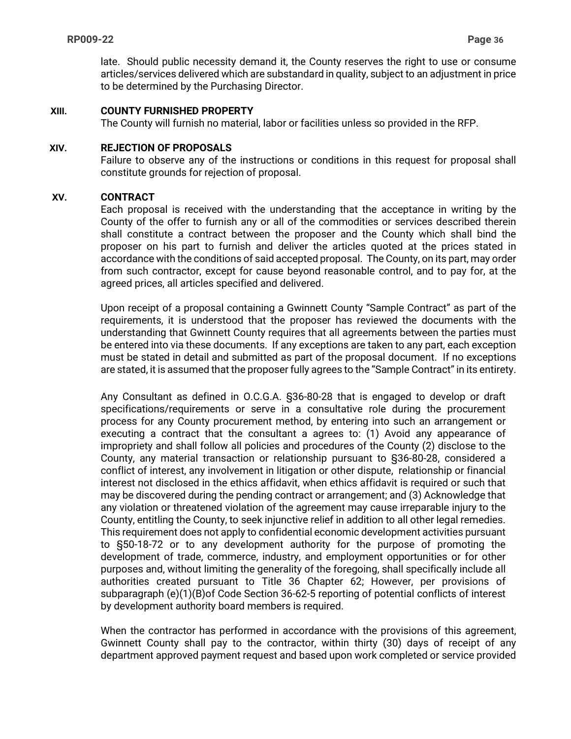late. Should public necessity demand it, the County reserves the right to use or consume articles/services delivered which are substandard in quality, subject to an adjustment in price to be determined by the Purchasing Director.

### **XIII. COUNTY FURNISHED PROPERTY**

The County will furnish no material, labor or facilities unless so provided in the RFP.

#### **XIV. REJECTION OF PROPOSALS**

Failure to observe any of the instructions or conditions in this request for proposal shall constitute grounds for rejection of proposal.

#### **XV. CONTRACT**

Each proposal is received with the understanding that the acceptance in writing by the County of the offer to furnish any or all of the commodities or services described therein shall constitute a contract between the proposer and the County which shall bind the proposer on his part to furnish and deliver the articles quoted at the prices stated in accordance with the conditions of said accepted proposal. The County, on its part, may order from such contractor, except for cause beyond reasonable control, and to pay for, at the agreed prices, all articles specified and delivered.

Upon receipt of a proposal containing a Gwinnett County "Sample Contract" as part of the requirements, it is understood that the proposer has reviewed the documents with the understanding that Gwinnett County requires that all agreements between the parties must be entered into via these documents. If any exceptions are taken to any part, each exception must be stated in detail and submitted as part of the proposal document. If no exceptions are stated, it is assumed that the proposer fully agrees to the "Sample Contract" in its entirety.

Any Consultant as defined in O.C.G.A. §36-80-28 that is engaged to develop or draft specifications/requirements or serve in a consultative role during the procurement process for any County procurement method, by entering into such an arrangement or executing a contract that the consultant a agrees to: (1) Avoid any appearance of impropriety and shall follow all policies and procedures of the County (2) disclose to the County, any material transaction or relationship pursuant to §36-80-28, considered a conflict of interest, any involvement in litigation or other dispute, relationship or financial interest not disclosed in the ethics affidavit, when ethics affidavit is required or such that may be discovered during the pending contract or arrangement; and (3) Acknowledge that any violation or threatened violation of the agreement may cause irreparable injury to the County, entitling the County, to seek injunctive relief in addition to all other legal remedies. This requirement does not apply to confidential economic development activities pursuant to §50-18-72 or to any development authority for the purpose of promoting the development of trade, commerce, industry, and employment opportunities or for other purposes and, without limiting the generality of the foregoing, shall specifically include all authorities created pursuant to Title 36 Chapter 62; However, per provisions of subparagraph (e)(1)(B)of Code Section 36-62-5 reporting of potential conflicts of interest by development authority board members is required.

When the contractor has performed in accordance with the provisions of this agreement, Gwinnett County shall pay to the contractor, within thirty (30) days of receipt of any department approved payment request and based upon work completed or service provided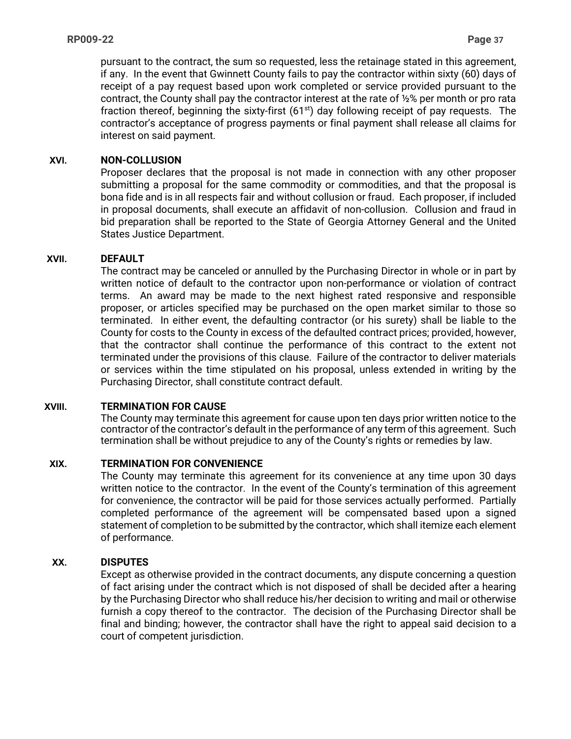pursuant to the contract, the sum so requested, less the retainage stated in this agreement, if any. In the event that Gwinnett County fails to pay the contractor within sixty (60) days of receipt of a pay request based upon work completed or service provided pursuant to the contract, the County shall pay the contractor interest at the rate of ½% per month or pro rata fraction thereof, beginning the sixty-first  $(61<sup>st</sup>)$  day following receipt of pay requests. The contractor's acceptance of progress payments or final payment shall release all claims for interest on said payment.

### **XVI. NON-COLLUSION**

Proposer declares that the proposal is not made in connection with any other proposer submitting a proposal for the same commodity or commodities, and that the proposal is bona fide and is in all respects fair and without collusion or fraud. Each proposer, if included in proposal documents, shall execute an affidavit of non-collusion. Collusion and fraud in bid preparation shall be reported to the State of Georgia Attorney General and the United States Justice Department.

### **XVII. DEFAULT**

The contract may be canceled or annulled by the Purchasing Director in whole or in part by written notice of default to the contractor upon non-performance or violation of contract terms. An award may be made to the next highest rated responsive and responsible proposer, or articles specified may be purchased on the open market similar to those so terminated. In either event, the defaulting contractor (or his surety) shall be liable to the County for costs to the County in excess of the defaulted contract prices; provided, however, that the contractor shall continue the performance of this contract to the extent not terminated under the provisions of this clause. Failure of the contractor to deliver materials or services within the time stipulated on his proposal, unless extended in writing by the Purchasing Director, shall constitute contract default.

### **XVIII. TERMINATION FOR CAUSE**

The County may terminate this agreement for cause upon ten days prior written notice to the contractor of the contractor's default in the performance of any term of this agreement. Such termination shall be without prejudice to any of the County's rights or remedies by law.

### **XIX. TERMINATION FOR CONVENIENCE**

The County may terminate this agreement for its convenience at any time upon 30 days written notice to the contractor. In the event of the County's termination of this agreement for convenience, the contractor will be paid for those services actually performed. Partially completed performance of the agreement will be compensated based upon a signed statement of completion to be submitted by the contractor, which shall itemize each element of performance.

### **XX. DISPUTES**

Except as otherwise provided in the contract documents, any dispute concerning a question of fact arising under the contract which is not disposed of shall be decided after a hearing by the Purchasing Director who shall reduce his/her decision to writing and mail or otherwise furnish a copy thereof to the contractor. The decision of the Purchasing Director shall be final and binding; however, the contractor shall have the right to appeal said decision to a court of competent jurisdiction.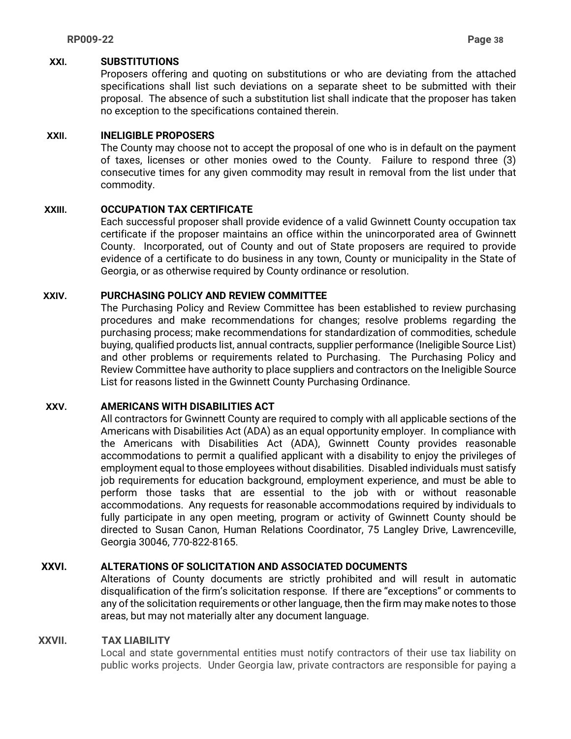#### **XXI. SUBSTITUTIONS**

Proposers offering and quoting on substitutions or who are deviating from the attached specifications shall list such deviations on a separate sheet to be submitted with their proposal. The absence of such a substitution list shall indicate that the proposer has taken no exception to the specifications contained therein.

### **XXII. INELIGIBLE PROPOSERS**

The County may choose not to accept the proposal of one who is in default on the payment of taxes, licenses or other monies owed to the County. Failure to respond three (3) consecutive times for any given commodity may result in removal from the list under that commodity.

### **XXIII. OCCUPATION TAX CERTIFICATE**

Each successful proposer shall provide evidence of a valid Gwinnett County occupation tax certificate if the proposer maintains an office within the unincorporated area of Gwinnett County. Incorporated, out of County and out of State proposers are required to provide evidence of a certificate to do business in any town, County or municipality in the State of Georgia, or as otherwise required by County ordinance or resolution.

#### **XXIV. PURCHASING POLICY AND REVIEW COMMITTEE**

The Purchasing Policy and Review Committee has been established to review purchasing procedures and make recommendations for changes; resolve problems regarding the purchasing process; make recommendations for standardization of commodities, schedule buying, qualified products list, annual contracts, supplier performance (Ineligible Source List) and other problems or requirements related to Purchasing. The Purchasing Policy and Review Committee have authority to place suppliers and contractors on the Ineligible Source List for reasons listed in the Gwinnett County Purchasing Ordinance.

#### **XXV. AMERICANS WITH DISABILITIES ACT**

All contractors for Gwinnett County are required to comply with all applicable sections of the Americans with Disabilities Act (ADA) as an equal opportunity employer. In compliance with the Americans with Disabilities Act (ADA), Gwinnett County provides reasonable accommodations to permit a qualified applicant with a disability to enjoy the privileges of employment equal to those employees without disabilities. Disabled individuals must satisfy job requirements for education background, employment experience, and must be able to perform those tasks that are essential to the job with or without reasonable accommodations. Any requests for reasonable accommodations required by individuals to fully participate in any open meeting, program or activity of Gwinnett County should be directed to Susan Canon, Human Relations Coordinator, 75 Langley Drive, Lawrenceville, Georgia 30046, 770-822-8165.

### **XXVI. ALTERATIONS OF SOLICITATION AND ASSOCIATED DOCUMENTS**

Alterations of County documents are strictly prohibited and will result in automatic disqualification of the firm's solicitation response. If there are "exceptions" or comments to any of the solicitation requirements or other language, then the firm may make notes to those areas, but may not materially alter any document language.

#### **XXVII. TAX LIABILITY**

Local and state governmental entities must notify contractors of their use tax liability on public works projects. Under Georgia law, private contractors are responsible for paying a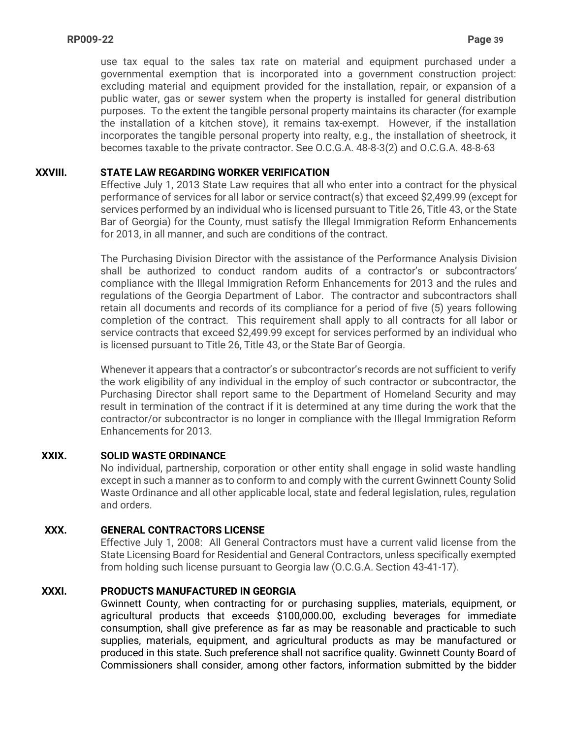use tax equal to the sales tax rate on material and equipment purchased under a governmental exemption that is incorporated into a government construction project: excluding material and equipment provided for the installation, repair, or expansion of a public water, gas or sewer system when the property is installed for general distribution purposes. To the extent the tangible personal property maintains its character (for example the installation of a kitchen stove), it remains tax-exempt. However, if the installation incorporates the tangible personal property into realty, e.g., the installation of sheetrock, it becomes taxable to the private contractor. See O.C.G.A. 48-8-3(2) and O.C.G.A. 48-8-63

### **XXVIII. STATE LAW REGARDING WORKER VERIFICATION**

Effective July 1, 2013 State Law requires that all who enter into a contract for the physical performance of services for all labor or service contract(s) that exceed \$2,499.99 (except for services performed by an individual who is licensed pursuant to Title 26, Title 43, or the State Bar of Georgia) for the County, must satisfy the Illegal Immigration Reform Enhancements for 2013, in all manner, and such are conditions of the contract.

The Purchasing Division Director with the assistance of the Performance Analysis Division shall be authorized to conduct random audits of a contractor's or subcontractors' compliance with the Illegal Immigration Reform Enhancements for 2013 and the rules and regulations of the Georgia Department of Labor. The contractor and subcontractors shall retain all documents and records of its compliance for a period of five (5) years following completion of the contract. This requirement shall apply to all contracts for all labor or service contracts that exceed \$2,499.99 except for services performed by an individual who is licensed pursuant to Title 26, Title 43, or the State Bar of Georgia.

Whenever it appears that a contractor's or subcontractor's records are not sufficient to verify the work eligibility of any individual in the employ of such contractor or subcontractor, the Purchasing Director shall report same to the Department of Homeland Security and may result in termination of the contract if it is determined at any time during the work that the contractor/or subcontractor is no longer in compliance with the Illegal Immigration Reform Enhancements for 2013.

#### **XXIX. SOLID WASTE ORDINANCE**

No individual, partnership, corporation or other entity shall engage in solid waste handling except in such a manner as to conform to and comply with the current Gwinnett County Solid Waste Ordinance and all other applicable local, state and federal legislation, rules, regulation and orders.

### **XXX. GENERAL CONTRACTORS LICENSE**

Effective July 1, 2008: All General Contractors must have a current valid license from the State Licensing Board for Residential and General Contractors, unless specifically exempted from holding such license pursuant to Georgia law (O.C.G.A. Section 43-41-17).

### **XXXI. PRODUCTS MANUFACTURED IN GEORGIA**

Gwinnett County, when contracting for or purchasing supplies, materials, equipment, or agricultural products that exceeds \$100,000.00, excluding beverages for immediate consumption, shall give preference as far as may be reasonable and practicable to such supplies, materials, equipment, and agricultural products as may be manufactured or produced in this state. Such preference shall not sacrifice quality. Gwinnett County Board of Commissioners shall consider, among other factors, information submitted by the bidder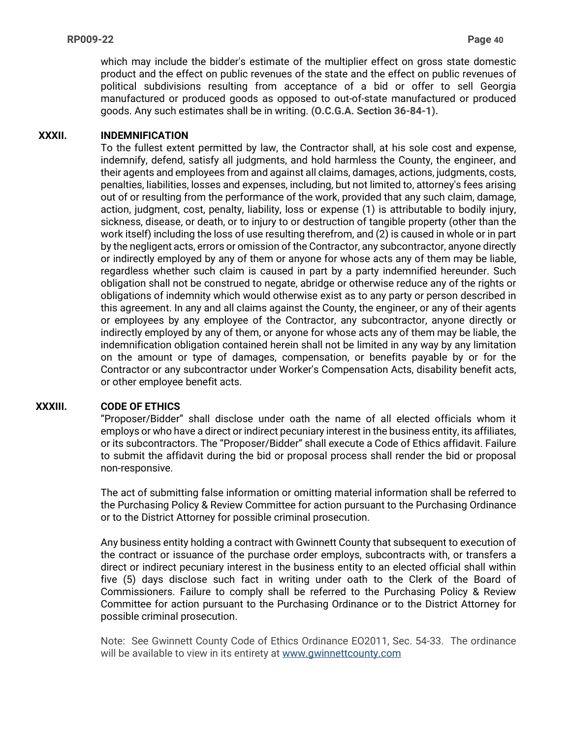which may include the bidder's estimate of the multiplier effect on gross state domestic product and the effect on public revenues of the state and the effect on public revenues of political subdivisions resulting from acceptance of a bid or offer to sell Georgia manufactured or produced goods as opposed to out-of-state manufactured or produced goods. Any such estimates shall be in writing. **(O.C.G.A. Section 36-84-1).**

### **XXXII. INDEMNIFICATION**

To the fullest extent permitted by law, the Contractor shall, at his sole cost and expense, indemnify, defend, satisfy all judgments, and hold harmless the County, the engineer, and their agents and employees from and against all claims, damages, actions, judgments, costs, penalties, liabilities, losses and expenses, including, but not limited to, attorney's fees arising out of or resulting from the performance of the work, provided that any such claim, damage, action, judgment, cost, penalty, liability, loss or expense (1) is attributable to bodily injury, sickness, disease, or death, or to injury to or destruction of tangible property (other than the work itself) including the loss of use resulting therefrom, and (2) is caused in whole or in part by the negligent acts, errors or omission of the Contractor, any subcontractor, anyone directly or indirectly employed by any of them or anyone for whose acts any of them may be liable, regardless whether such claim is caused in part by a party indemnified hereunder. Such obligation shall not be construed to negate, abridge or otherwise reduce any of the rights or obligations of indemnity which would otherwise exist as to any party or person described in this agreement. In any and all claims against the County, the engineer, or any of their agents or employees by any employee of the Contractor, any subcontractor, anyone directly or indirectly employed by any of them, or anyone for whose acts any of them may be liable, the indemnification obligation contained herein shall not be limited in any way by any limitation on the amount or type of damages, compensation, or benefits payable by or for the Contractor or any subcontractor under Worker's Compensation Acts, disability benefit acts, or other employee benefit acts.

### **XXXIII. CODE OF ETHICS**

"Proposer/Bidder" shall disclose under oath the name of all elected officials whom it employs or who have a direct or indirect pecuniary interest in the business entity, its affiliates, or its subcontractors. The "Proposer/Bidder" shall execute a Code of Ethics affidavit. Failure to submit the affidavit during the bid or proposal process shall render the bid or proposal non-responsive.

The act of submitting false information or omitting material information shall be referred to the Purchasing Policy & Review Committee for action pursuant to the Purchasing Ordinance or to the District Attorney for possible criminal prosecution.

Any business entity holding a contract with Gwinnett County that subsequent to execution of the contract or issuance of the purchase order employs, subcontracts with, or transfers a direct or indirect pecuniary interest in the business entity to an elected official shall within five (5) days disclose such fact in writing under oath to the Clerk of the Board of Commissioners. Failure to comply shall be referred to the Purchasing Policy & Review Committee for action pursuant to the Purchasing Ordinance or to the District Attorney for possible criminal prosecution.

Note: See Gwinnett County Code of Ethics Ordinance EO2011, Sec. 54-33. The ordinance will be available to view in its entirety at [www.gwinnettcounty.com](http://www.gwinnettcounty.com/)